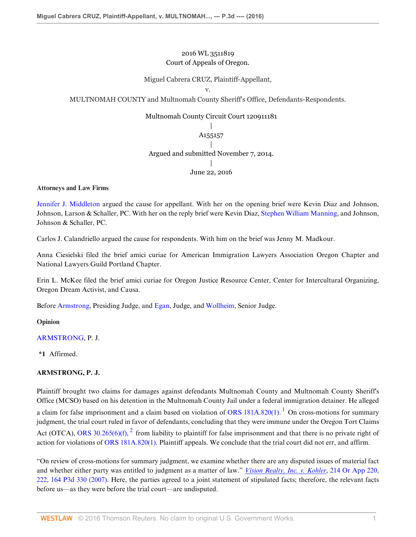## 2016 WL 3511819 Court of Appeals of Oregon.

## Miguel Cabrera CRUZ, Plaintiff-Appellant,

v.

MULTNOMAH COUNTY and Multnomah County Sheriff's Office, Defendants-Respondents.

## Multnomah County Circuit Court 120911181

| A155157 | Argued and submitted November 7, 2014. | June 22, 2016

### **Attorneys and Law Firms**

[Jennifer J. Middleton](http://www.westlaw.com/Link/Document/FullText?findType=h&pubNum=176284&cite=0395662701&originatingDoc=I0f7471303d5611e6a6699ce8baa114cf&refType=RQ&originationContext=document&vr=3.0&rs=cblt1.0&transitionType=DocumentItem&contextData=(sc.KeyciteAlert)) argued the cause for appellant. With her on the opening brief were Kevin Diaz and Johnson, Johnson, Larson & Schaller, PC. With her on the reply brief were Kevin Diaz, [Stephen William Manning](http://www.westlaw.com/Link/Document/FullText?findType=h&pubNum=176284&cite=0342138701&originatingDoc=I0f7471303d5611e6a6699ce8baa114cf&refType=RQ&originationContext=document&vr=3.0&rs=cblt1.0&transitionType=DocumentItem&contextData=(sc.KeyciteAlert)), and Johnson, Johnson & Schaller, PC.

Carlos J. Calandriello argued the cause for respondents. With him on the brief was Jenny M. Madkour.

Anna Ciesielski filed the brief amici curiae for American Immigration Lawyers Association Oregon Chapter and National Lawyers Guild Portland Chapter.

Erin L. McKee filed the brief amici curiae for Oregon Justice Resource Center, Center for Intercultural Organizing, Oregon Dream Activist, and Causa.

Before [Armstrong](http://www.westlaw.com/Link/Document/FullText?findType=h&pubNum=176284&cite=0148251101&originatingDoc=I0f7471303d5611e6a6699ce8baa114cf&refType=RQ&originationContext=document&vr=3.0&rs=cblt1.0&transitionType=DocumentItem&contextData=(sc.KeyciteAlert)), Presiding Judge, and [Egan,](http://www.westlaw.com/Link/Document/FullText?findType=h&pubNum=176284&cite=0100725501&originatingDoc=I0f7471303d5611e6a6699ce8baa114cf&refType=RQ&originationContext=document&vr=3.0&rs=cblt1.0&transitionType=DocumentItem&contextData=(sc.KeyciteAlert)) Judge, and [Wollheim,](http://www.westlaw.com/Link/Document/FullText?findType=h&pubNum=176284&cite=0206782802&originatingDoc=I0f7471303d5611e6a6699ce8baa114cf&refType=RQ&originationContext=document&vr=3.0&rs=cblt1.0&transitionType=DocumentItem&contextData=(sc.KeyciteAlert)) Senior Judge.

### **Opinion**

[ARMSTRONG](http://www.westlaw.com/Link/Document/FullText?findType=h&pubNum=176284&cite=0148251101&originatingDoc=I0f7471303d5611e6a6699ce8baa114cf&refType=RQ&originationContext=document&vr=3.0&rs=cblt1.0&transitionType=DocumentItem&contextData=(sc.KeyciteAlert)), P. J.

**\*1** Affirmed.

## **ARMSTRONG, P. J.**

<span id="page-0-0"></span>Plaintiff brought two claims for damages against defendants Multnomah County and Multnomah County Sheriff's Office (MCSO) based on his detention in the Multnomah County Jail under a federal immigration detainer. He alleged a claim for false imprisonment and a claim based on violation of ORS  $181A.820(1)$  $181A.820(1)$ . <sup>1</sup> On cross-motions for summary judgment, the trial court ruled in favor of defendants, concluding that they were immune under the Oregon Tort Claims Act (OTCA), [ORS 30.265\(6\)\(f\),](http://www.westlaw.com/Link/Document/FullText?findType=L&pubNum=1000534&cite=ORSTS30.265&originatingDoc=I0f7471303d5611e6a6699ce8baa114cf&refType=SP&originationContext=document&vr=3.0&rs=cblt1.0&transitionType=DocumentItem&contextData=(sc.KeyciteAlert)#co_pp_5aa00000f37c3)  $^2$  $^2$  from liability to plaintiff for false imprisonment and that there is no private right of action for violations of [ORS 181A.820\(1\)](http://www.westlaw.com/Link/Document/FullText?findType=L&pubNum=1000534&cite=ORSTS181A.820&originatingDoc=I0f7471303d5611e6a6699ce8baa114cf&refType=SP&originationContext=document&vr=3.0&rs=cblt1.0&transitionType=DocumentItem&contextData=(sc.KeyciteAlert)#co_pp_f1c50000821b0). Plaintiff appeals. We conclude that the trial court did not err, and affirm.

<span id="page-0-1"></span>"On review of cross-motions for summary judgment, we examine whether there are any disputed issues of material fact and whether either party was entitled to judgment as a matter of law." *[Vision Realty, Inc. v. Kohler](http://www.westlaw.com/Link/Document/FullText?findType=Y&serNum=2012773898&pubNum=0004645&originatingDoc=I0f7471303d5611e6a6699ce8baa114cf&refType=RP&originationContext=document&vr=3.0&rs=cblt1.0&transitionType=DocumentItem&contextData=(sc.KeyciteAlert))*, 214 Or App 220, [222, 164 P3d 330 \(2007\).](http://www.westlaw.com/Link/Document/FullText?findType=Y&serNum=2012773898&pubNum=0004645&originatingDoc=I0f7471303d5611e6a6699ce8baa114cf&refType=RP&originationContext=document&vr=3.0&rs=cblt1.0&transitionType=DocumentItem&contextData=(sc.KeyciteAlert)) Here, the parties agreed to a joint statement of stipulated facts; therefore, the relevant facts before us—as they were before the trial court—are undisputed.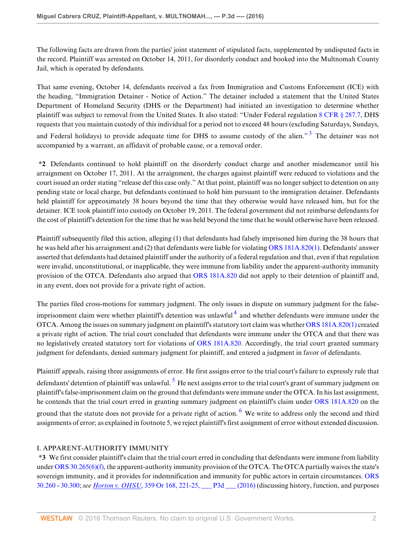The following facts are drawn from the parties' joint statement of stipulated facts, supplemented by undisputed facts in the record. Plaintiff was arrested on October 14, 2011, for disorderly conduct and booked into the Multnomah County Jail, which is operated by defendants.

That same evening, October 14, defendants received a fax from Immigration and Customs Enforcement (ICE) with the heading, "Immigration Detainer - Notice of Action." The detainer included a statement that the United States Department of Homeland Security (DHS or the Department) had initiated an investigation to determine whether plaintiff was subject to removal from the United States. It also stated: "Under Federal regulation [8 CFR § 287.7,](http://www.westlaw.com/Link/Document/FullText?findType=L&pubNum=1000547&cite=8CFRS287.7&originatingDoc=I0f7471303d5611e6a6699ce8baa114cf&refType=LQ&originationContext=document&vr=3.0&rs=cblt1.0&transitionType=DocumentItem&contextData=(sc.KeyciteAlert)) DHS requests that you maintain custody of this individual for a period not to exceed 48 hours (excluding Saturdays, Sundays, and Federal holidays) to provide adequate time for DHS to assume custody of the alien."<sup>[3](#page-9-2)</sup> The detainer was not accompanied by a warrant, an affidavit of probable cause, or a removal order.

<span id="page-1-0"></span>**\*2** Defendants continued to hold plaintiff on the disorderly conduct charge and another misdemeanor until his arraignment on October 17, 2011. At the arraignment, the charges against plaintiff were reduced to violations and the court issued an order stating "release def this case only." At that point, plaintiff was no longer subject to detention on any pending state or local charge, but defendants continued to hold him pursuant to the immigration detainer. Defendants held plaintiff for approximately 38 hours beyond the time that they otherwise would have released him, but for the detainer. ICE took plaintiff into custody on October 19, 2011. The federal government did not reimburse defendants for the cost of plaintiff's detention for the time that he was held beyond the time that he would otherwise have been released.

Plaintiff subsequently filed this action, alleging (1) that defendants had falsely imprisoned him during the 38 hours that he was held after his arraignment and (2) that defendants were liable for violating [ORS 181A.820\(1\).](http://www.westlaw.com/Link/Document/FullText?findType=L&pubNum=1000534&cite=ORSTS181A.820&originatingDoc=I0f7471303d5611e6a6699ce8baa114cf&refType=SP&originationContext=document&vr=3.0&rs=cblt1.0&transitionType=DocumentItem&contextData=(sc.KeyciteAlert)#co_pp_f1c50000821b0) Defendants' answer asserted that defendants had detained plaintiff under the authority of a federal regulation and that, even if that regulation were invalid, unconstitutional, or inapplicable, they were immune from liability under the apparent-authority immunity provision of the OTCA. Defendants also argued that [ORS 181A.820](http://www.westlaw.com/Link/Document/FullText?findType=L&pubNum=1000534&cite=ORSTS181A.820&originatingDoc=I0f7471303d5611e6a6699ce8baa114cf&refType=LQ&originationContext=document&vr=3.0&rs=cblt1.0&transitionType=DocumentItem&contextData=(sc.KeyciteAlert)) did not apply to their detention of plaintiff and, in any event, does not provide for a private right of action.

<span id="page-1-1"></span>The parties filed cross-motions for summary judgment. The only issues in dispute on summary judgment for the false-imprisonment claim were whether plaintiff's detention was unlawful<sup>[4](#page-10-0)</sup> and whether defendants were immune under the OTCA. Among the issues on summary judgment on plaintiff's statutory tort claim was whether [ORS 181A.820\(1\)](http://www.westlaw.com/Link/Document/FullText?findType=L&pubNum=1000534&cite=ORSTS181A.820&originatingDoc=I0f7471303d5611e6a6699ce8baa114cf&refType=SP&originationContext=document&vr=3.0&rs=cblt1.0&transitionType=DocumentItem&contextData=(sc.KeyciteAlert)#co_pp_f1c50000821b0) created a private right of action. The trial court concluded that defendants were immune under the OTCA and that there was no legislatively created statutory tort for violations of [ORS 181A.820.](http://www.westlaw.com/Link/Document/FullText?findType=L&pubNum=1000534&cite=ORSTS181A.820&originatingDoc=I0f7471303d5611e6a6699ce8baa114cf&refType=LQ&originationContext=document&vr=3.0&rs=cblt1.0&transitionType=DocumentItem&contextData=(sc.KeyciteAlert)) Accordingly, the trial court granted summary judgment for defendants, denied summary judgment for plaintiff, and entered a judgment in favor of defendants.

<span id="page-1-3"></span><span id="page-1-2"></span>Plaintiff appeals, raising three assignments of error. He first assigns error to the trial court's failure to expressly rule that defendants' detention of plaintiff was unlawful.  $^5$  $^5$  He next assigns error to the trial court's grant of summary judgment on plaintiff's false-imprisonment claim on the ground that defendants were immune under the OTCA. In his last assignment, he contends that the trial court erred in granting summary judgment on plaintiff's claim under [ORS 181A.820](http://www.westlaw.com/Link/Document/FullText?findType=L&pubNum=1000534&cite=ORSTS181A.820&originatingDoc=I0f7471303d5611e6a6699ce8baa114cf&refType=LQ&originationContext=document&vr=3.0&rs=cblt1.0&transitionType=DocumentItem&contextData=(sc.KeyciteAlert)) on the ground that the statute does not provide for a private right of action. <sup>[6](#page-10-2)</sup> We write to address only the second and third assignments of error; as explained in footnote 5, we reject plaintiff's first assignment of error without extended discussion.

# I. APPARENT-AUTHORITY IMMUNITY

**\*3** We first consider plaintiff's claim that the trial court erred in concluding that defendants were immune from liability under [ORS 30.265\(6\)\(f\),](http://www.westlaw.com/Link/Document/FullText?findType=L&pubNum=1000534&cite=ORSTS30.265&originatingDoc=I0f7471303d5611e6a6699ce8baa114cf&refType=SP&originationContext=document&vr=3.0&rs=cblt1.0&transitionType=DocumentItem&contextData=(sc.KeyciteAlert)#co_pp_5aa00000f37c3) the apparent-authority immunity provision of the OTCA. The OTCA partially waives the state's sovereign immunity, and it provides for indemnification and immunity for public actors in certain circumstances. [ORS](http://www.westlaw.com/Link/Document/FullText?findType=L&pubNum=1000534&cite=ORSTS30.260&originatingDoc=I0f7471303d5611e6a6699ce8baa114cf&refType=LQ&originationContext=document&vr=3.0&rs=cblt1.0&transitionType=DocumentItem&contextData=(sc.KeyciteAlert)) [30.260](http://www.westlaw.com/Link/Document/FullText?findType=L&pubNum=1000534&cite=ORSTS30.260&originatingDoc=I0f7471303d5611e6a6699ce8baa114cf&refType=LQ&originationContext=document&vr=3.0&rs=cblt1.0&transitionType=DocumentItem&contextData=(sc.KeyciteAlert)) - [30.300;](http://www.westlaw.com/Link/Document/FullText?findType=L&pubNum=1000534&cite=ORSTS30.300&originatingDoc=I0f7471303d5611e6a6699ce8baa114cf&refType=LQ&originationContext=document&vr=3.0&rs=cblt1.0&transitionType=DocumentItem&contextData=(sc.KeyciteAlert)) *see Horton v. OHSU*[, 359 Or 168, 221-25, \\_\\_\\_ P3d \\_\\_\\_ \(2016\)](http://www.westlaw.com/Link/Document/FullText?findType=Y&serNum=2038799616&pubNum=0000641&originatingDoc=I0f7471303d5611e6a6699ce8baa114cf&refType=RP&fi=co_pp_sp_641_221&originationContext=document&vr=3.0&rs=cblt1.0&transitionType=DocumentItem&contextData=(sc.KeyciteAlert)#co_pp_sp_641_221) (discussing history, function, and purposes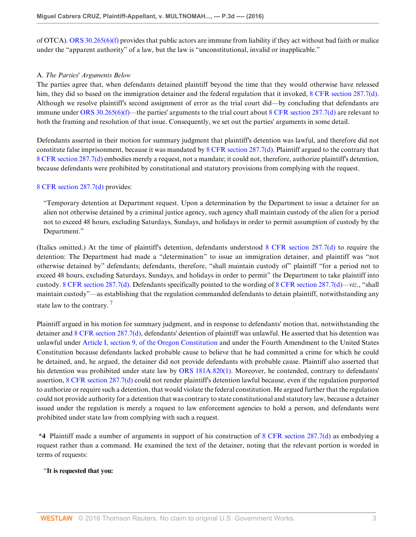of OTCA). ORS  $30.265(6)(f)$  provides that public actors are immune from liability if they act without bad faith or malice under the "apparent authority" of a law, but the law is "unconstitutional, invalid or inapplicable."

### A. *The Parties' Arguments Below*

The parties agree that, when defendants detained plaintiff beyond the time that they would otherwise have released him, they did so based on the immigration detainer and the federal regulation that it invoked, [8 CFR section 287.7\(d\)](http://www.westlaw.com/Link/Document/FullText?findType=L&pubNum=1000547&cite=8CFRS287.7&originatingDoc=I0f7471303d5611e6a6699ce8baa114cf&refType=LQ&originationContext=document&vr=3.0&rs=cblt1.0&transitionType=DocumentItem&contextData=(sc.KeyciteAlert)). Although we resolve plaintiff's second assignment of error as the trial court did—by concluding that defendants are immune under [ORS 30.265\(6\)\(f\)—](http://www.westlaw.com/Link/Document/FullText?findType=L&pubNum=1000534&cite=ORSTS30.265&originatingDoc=I0f7471303d5611e6a6699ce8baa114cf&refType=SP&originationContext=document&vr=3.0&rs=cblt1.0&transitionType=DocumentItem&contextData=(sc.KeyciteAlert)#co_pp_5aa00000f37c3)the parties' arguments to the trial court about [8 CFR section 287.7\(d\)](http://www.westlaw.com/Link/Document/FullText?findType=L&pubNum=1000547&cite=8CFRS287.7&originatingDoc=I0f7471303d5611e6a6699ce8baa114cf&refType=LQ&originationContext=document&vr=3.0&rs=cblt1.0&transitionType=DocumentItem&contextData=(sc.KeyciteAlert)) are relevant to both the framing and resolution of that issue. Consequently, we set out the parties' arguments in some detail.

Defendants asserted in their motion for summary judgment that plaintiff's detention was lawful, and therefore did not constitute false imprisonment, because it was mandated by [8 CFR section 287.7\(d\).](http://www.westlaw.com/Link/Document/FullText?findType=L&pubNum=1000547&cite=8CFRS287.7&originatingDoc=I0f7471303d5611e6a6699ce8baa114cf&refType=LQ&originationContext=document&vr=3.0&rs=cblt1.0&transitionType=DocumentItem&contextData=(sc.KeyciteAlert)) Plaintiff argued to the contrary that [8 CFR section 287.7\(d\)](http://www.westlaw.com/Link/Document/FullText?findType=L&pubNum=1000547&cite=8CFRS287.7&originatingDoc=I0f7471303d5611e6a6699ce8baa114cf&refType=LQ&originationContext=document&vr=3.0&rs=cblt1.0&transitionType=DocumentItem&contextData=(sc.KeyciteAlert)) embodies merely a request, not a mandate; it could not, therefore, authorize plaintiff's detention, because defendants were prohibited by constitutional and statutory provisions from complying with the request.

### [8 CFR section 287.7\(d\)](http://www.westlaw.com/Link/Document/FullText?findType=L&pubNum=1000547&cite=8CFRS287.7&originatingDoc=I0f7471303d5611e6a6699ce8baa114cf&refType=LQ&originationContext=document&vr=3.0&rs=cblt1.0&transitionType=DocumentItem&contextData=(sc.KeyciteAlert)) provides:

"Temporary detention at Department request. Upon a determination by the Department to issue a detainer for an alien not otherwise detained by a criminal justice agency, such agency shall maintain custody of the alien for a period not to exceed 48 hours, excluding Saturdays, Sundays, and holidays in order to permit assumption of custody by the Department."

(Italics omitted.) At the time of plaintiff's detention, defendants understood [8 CFR section 287.7\(d\)](http://www.westlaw.com/Link/Document/FullText?findType=L&pubNum=1000547&cite=8CFRS287.7&originatingDoc=I0f7471303d5611e6a6699ce8baa114cf&refType=LQ&originationContext=document&vr=3.0&rs=cblt1.0&transitionType=DocumentItem&contextData=(sc.KeyciteAlert)) to require the detention: The Department had made a "determination" to issue an immigration detainer, and plaintiff was "not otherwise detained by" defendants; defendants, therefore, "shall maintain custody of" plaintiff "for a period not to exceed 48 hours, excluding Saturdays, Sundays, and holidays in order to permit" the Department to take plaintiff into custody. [8 CFR section 287.7\(d\)](http://www.westlaw.com/Link/Document/FullText?findType=L&pubNum=1000547&cite=8CFRS287.7&originatingDoc=I0f7471303d5611e6a6699ce8baa114cf&refType=LQ&originationContext=document&vr=3.0&rs=cblt1.0&transitionType=DocumentItem&contextData=(sc.KeyciteAlert)). Defendants specifically pointed to the wording of [8 CFR section 287.7\(d\)](http://www.westlaw.com/Link/Document/FullText?findType=L&pubNum=1000547&cite=8CFRS287.7&originatingDoc=I0f7471303d5611e6a6699ce8baa114cf&refType=LQ&originationContext=document&vr=3.0&rs=cblt1.0&transitionType=DocumentItem&contextData=(sc.KeyciteAlert))—*viz*., "shall maintain custody"—as establishing that the regulation commanded defendants to detain plaintiff, notwithstanding any state law to the contrary.<sup>[7](#page-10-3)</sup>

<span id="page-2-0"></span>Plaintiff argued in his motion for summary judgment, and in response to defendants' motion that, notwithstanding the detainer and [8 CFR section 287.7\(d\),](http://www.westlaw.com/Link/Document/FullText?findType=L&pubNum=1000547&cite=8CFRS287.7&originatingDoc=I0f7471303d5611e6a6699ce8baa114cf&refType=LQ&originationContext=document&vr=3.0&rs=cblt1.0&transitionType=DocumentItem&contextData=(sc.KeyciteAlert)) defendants' detention of plaintiff was unlawful. He asserted that his detention was unlawful under [Article I, section 9, of the Oregon Constitution](http://www.westlaw.com/Link/Document/FullText?findType=L&pubNum=1003293&cite=ORCNARTIS9&originatingDoc=I0f7471303d5611e6a6699ce8baa114cf&refType=LQ&originationContext=document&vr=3.0&rs=cblt1.0&transitionType=DocumentItem&contextData=(sc.KeyciteAlert)) and under the Fourth Amendment to the United States Constitution because defendants lacked probable cause to believe that he had committed a crime for which he could be detained, and, he argued, the detainer did not provide defendants with probable cause. Plaintiff also asserted that his detention was prohibited under state law by [ORS 181A.820\(1\)](http://www.westlaw.com/Link/Document/FullText?findType=L&pubNum=1000534&cite=ORSTS181A.820&originatingDoc=I0f7471303d5611e6a6699ce8baa114cf&refType=SP&originationContext=document&vr=3.0&rs=cblt1.0&transitionType=DocumentItem&contextData=(sc.KeyciteAlert)#co_pp_f1c50000821b0). Moreover, he contended, contrary to defendants' assertion, [8 CFR section 287.7\(d\)](http://www.westlaw.com/Link/Document/FullText?findType=L&pubNum=1000547&cite=8CFRS287.7&originatingDoc=I0f7471303d5611e6a6699ce8baa114cf&refType=LQ&originationContext=document&vr=3.0&rs=cblt1.0&transitionType=DocumentItem&contextData=(sc.KeyciteAlert)) could not render plaintiff's detention lawful because, even if the regulation purported to authorize or require such a detention, that would violate the federal constitution. He argued further that the regulation could not provide authority for a detention that was contrary to state constitutional and statutory law, because a detainer issued under the regulation is merely a request to law enforcement agencies to hold a person, and defendants were prohibited under state law from complying with such a request.

**\*4** Plaintiff made a number of arguments in support of his construction of [8 CFR section 287.7\(d\)](http://www.westlaw.com/Link/Document/FullText?findType=L&pubNum=1000547&cite=8CFRS287.7&originatingDoc=I0f7471303d5611e6a6699ce8baa114cf&refType=LQ&originationContext=document&vr=3.0&rs=cblt1.0&transitionType=DocumentItem&contextData=(sc.KeyciteAlert)) as embodying a request rather than a command. He examined the text of the detainer, noting that the relevant portion is worded in terms of requests:

### "**It is requested that you:**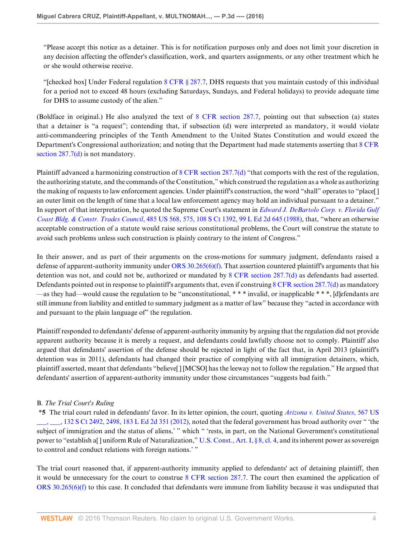"Please accept this notice as a detainer. This is for notification purposes only and does not limit your discretion in any decision affecting the offender's classification, work, and quarters assignments, or any other treatment which he or she would otherwise receive.

"[checked box] Under Federal regulation  $8$  CFR  $\S$  287.7, DHS requests that you maintain custody of this individual for a period not to exceed 48 hours (excluding Saturdays, Sundays, and Federal holidays) to provide adequate time for DHS to assume custody of the alien."

(Boldface in original.) He also analyzed the text of [8 CFR section 287.7,](http://www.westlaw.com/Link/Document/FullText?findType=L&pubNum=1000547&cite=8CFRS287.7&originatingDoc=I0f7471303d5611e6a6699ce8baa114cf&refType=LQ&originationContext=document&vr=3.0&rs=cblt1.0&transitionType=DocumentItem&contextData=(sc.KeyciteAlert)) pointing out that subsection (a) states that a detainer is "a request"; contending that, if subsection (d) were interpreted as mandatory, it would violate anti-commandeering principles of the Tenth Amendment to the United States Constitution and would exceed the Department's Congressional authorization; and noting that the Department had made statements asserting that [8 CFR](http://www.westlaw.com/Link/Document/FullText?findType=L&pubNum=1000547&cite=8CFRS287.7&originatingDoc=I0f7471303d5611e6a6699ce8baa114cf&refType=LQ&originationContext=document&vr=3.0&rs=cblt1.0&transitionType=DocumentItem&contextData=(sc.KeyciteAlert)) [section 287.7\(d\)](http://www.westlaw.com/Link/Document/FullText?findType=L&pubNum=1000547&cite=8CFRS287.7&originatingDoc=I0f7471303d5611e6a6699ce8baa114cf&refType=LQ&originationContext=document&vr=3.0&rs=cblt1.0&transitionType=DocumentItem&contextData=(sc.KeyciteAlert)) is not mandatory.

Plaintiff advanced a harmonizing construction of [8 CFR section 287.7\(d\)](http://www.westlaw.com/Link/Document/FullText?findType=L&pubNum=1000547&cite=8CFRS287.7&originatingDoc=I0f7471303d5611e6a6699ce8baa114cf&refType=LQ&originationContext=document&vr=3.0&rs=cblt1.0&transitionType=DocumentItem&contextData=(sc.KeyciteAlert)) "that comports with the rest of the regulation, the authorizing statute, and the commands of the Constitution," which construed the regulation as a whole as authorizing the making of requests to law enforcement agencies. Under plaintiff's construction, the word "shall" operates to "place[ ] an outer limit on the length of time that a local law enforcement agency may hold an individual pursuant to a detainer." In support of that interpretation, he quoted the Supreme Court's statement in *[Edward J. DeBartolo Corp. v. Florida Gulf](http://www.westlaw.com/Link/Document/FullText?findType=Y&serNum=1988050558&pubNum=0000708&originatingDoc=I0f7471303d5611e6a6699ce8baa114cf&refType=RP&originationContext=document&vr=3.0&rs=cblt1.0&transitionType=DocumentItem&contextData=(sc.KeyciteAlert)) Coast Bldg. & Constr. Trades Council*[, 485 US 568, 575, 108 S Ct 1392, 99 L Ed 2d 645 \(1988\),](http://www.westlaw.com/Link/Document/FullText?findType=Y&serNum=1988050558&pubNum=0000708&originatingDoc=I0f7471303d5611e6a6699ce8baa114cf&refType=RP&originationContext=document&vr=3.0&rs=cblt1.0&transitionType=DocumentItem&contextData=(sc.KeyciteAlert)) that, "where an otherwise acceptable construction of a statute would raise serious constitutional problems, the Court will construe the statute to avoid such problems unless such construction is plainly contrary to the intent of Congress."

In their answer, and as part of their arguments on the cross-motions for summary judgment, defendants raised a defense of apparent-authority immunity under [ORS 30.265\(6\)\(f\)](http://www.westlaw.com/Link/Document/FullText?findType=L&pubNum=1000534&cite=ORSTS30.265&originatingDoc=I0f7471303d5611e6a6699ce8baa114cf&refType=SP&originationContext=document&vr=3.0&rs=cblt1.0&transitionType=DocumentItem&contextData=(sc.KeyciteAlert)#co_pp_5aa00000f37c3). That assertion countered plaintiff's arguments that his detention was not, and could not be, authorized or mandated by [8 CFR section 287.7\(d\)](http://www.westlaw.com/Link/Document/FullText?findType=L&pubNum=1000547&cite=8CFRS287.7&originatingDoc=I0f7471303d5611e6a6699ce8baa114cf&refType=LQ&originationContext=document&vr=3.0&rs=cblt1.0&transitionType=DocumentItem&contextData=(sc.KeyciteAlert)) as defendants had asserted. Defendants pointed out in response to plaintiff's arguments that, even if construing [8 CFR section 287.7\(d\)](http://www.westlaw.com/Link/Document/FullText?findType=L&pubNum=1000547&cite=8CFRS287.7&originatingDoc=I0f7471303d5611e6a6699ce8baa114cf&refType=LQ&originationContext=document&vr=3.0&rs=cblt1.0&transitionType=DocumentItem&contextData=(sc.KeyciteAlert)) as mandatory —as they had—would cause the regulation to be "unconstitutional, \* \* \* invalid, or inapplicable \* \* \*, [d]efendants are still immune from liability and entitled to summary judgment as a matter of law" because they "acted in accordance with and pursuant to the plain language of" the regulation.

Plaintiff responded to defendants' defense of apparent-authority immunity by arguing that the regulation did not provide apparent authority because it is merely a request, and defendants could lawfully choose not to comply. Plaintiff also argued that defendants' assertion of the defense should be rejected in light of the fact that, in April 2013 (plaintiff's detention was in 2011), defendants had changed their practice of complying with all immigration detainers, which, plaintiff asserted, meant that defendants "believe[ ] [MCSO] has the leeway not to follow the regulation." He argued that defendants' assertion of apparent-authority immunity under those circumstances "suggests bad faith."

# B. *The Trial Court's Ruling*

**\*5** The trial court ruled in defendants' favor. In its letter opinion, the court, quoting *[Arizona v. United States](http://www.westlaw.com/Link/Document/FullText?findType=Y&serNum=2027964008&pubNum=0000708&originatingDoc=I0f7471303d5611e6a6699ce8baa114cf&refType=RP&fi=co_pp_sp_708_2498&originationContext=document&vr=3.0&rs=cblt1.0&transitionType=DocumentItem&contextData=(sc.KeyciteAlert)#co_pp_sp_708_2498)*, 567 US  $\sim$ , 132 S Ct 2492, 2498, 183 L Ed 2d 351 (2012), noted that the federal government has broad authority over " the subject of immigration and the status of aliens,' " which " 'rests, in part, on the National Government's constitutional power to "establish a[ ] uniform Rule of Naturalization," [U.S. Const., Art. I, § 8, cl. 4](http://www.westlaw.com/Link/Document/FullText?findType=L&pubNum=1000583&cite=USCOARTIS8CL4&originatingDoc=I0f7471303d5611e6a6699ce8baa114cf&refType=LQ&originationContext=document&vr=3.0&rs=cblt1.0&transitionType=DocumentItem&contextData=(sc.KeyciteAlert)), and its inherent power as sovereign to control and conduct relations with foreign nations.' "

The trial court reasoned that, if apparent-authority immunity applied to defendants' act of detaining plaintiff, then it would be unnecessary for the court to construe [8 CFR section 287.7](http://www.westlaw.com/Link/Document/FullText?findType=L&pubNum=1000547&cite=8CFRS287.7&originatingDoc=I0f7471303d5611e6a6699ce8baa114cf&refType=LQ&originationContext=document&vr=3.0&rs=cblt1.0&transitionType=DocumentItem&contextData=(sc.KeyciteAlert)). The court then examined the application of [ORS 30.265\(6\)\(f\)](http://www.westlaw.com/Link/Document/FullText?findType=L&pubNum=1000534&cite=ORSTS30.265&originatingDoc=I0f7471303d5611e6a6699ce8baa114cf&refType=SP&originationContext=document&vr=3.0&rs=cblt1.0&transitionType=DocumentItem&contextData=(sc.KeyciteAlert)#co_pp_5aa00000f37c3) to this case. It concluded that defendants were immune from liability because it was undisputed that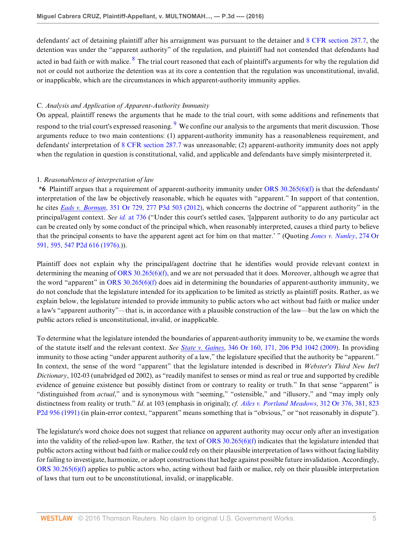<span id="page-4-0"></span>defendants' act of detaining plaintiff after his arraignment was pursuant to the detainer and [8 CFR section 287.7](http://www.westlaw.com/Link/Document/FullText?findType=L&pubNum=1000547&cite=8CFRS287.7&originatingDoc=I0f7471303d5611e6a6699ce8baa114cf&refType=LQ&originationContext=document&vr=3.0&rs=cblt1.0&transitionType=DocumentItem&contextData=(sc.KeyciteAlert)), the detention was under the "apparent authority" of the regulation, and plaintiff had not contended that defendants had acted in bad faith or with malice.  $^8$  $^8$  The trial court reasoned that each of plaintiff's arguments for why the regulation did not or could not authorize the detention was at its core a contention that the regulation was unconstitutional, invalid, or inapplicable, which are the circumstances in which apparent-authority immunity applies.

### C. *Analysis and Application of Apparent-Authority Immunity*

<span id="page-4-1"></span>On appeal, plaintiff renews the arguments that he made to the trial court, with some additions and refinements that respond to the trial court's expressed reasoning. <sup>[9](#page-10-5)</sup> We confine our analysis to the arguments that merit discussion. Those arguments reduce to two main contentions: (1) apparent-authority immunity has a reasonableness requirement, and defendants' interpretation of [8 CFR section 287.7](http://www.westlaw.com/Link/Document/FullText?findType=L&pubNum=1000547&cite=8CFRS287.7&originatingDoc=I0f7471303d5611e6a6699ce8baa114cf&refType=LQ&originationContext=document&vr=3.0&rs=cblt1.0&transitionType=DocumentItem&contextData=(sc.KeyciteAlert)) was unreasonable; (2) apparent-authority immunity does not apply when the regulation in question is constitutional, valid, and applicable and defendants have simply misinterpreted it.

### 1. *Reasonableness of interpretation of law*

**\*6** Plaintiff argues that a requirement of apparent-authority immunity under [ORS 30.265\(6\)\(f\)](http://www.westlaw.com/Link/Document/FullText?findType=L&pubNum=1000534&cite=ORSTS30.265&originatingDoc=I0f7471303d5611e6a6699ce8baa114cf&refType=SP&originationContext=document&vr=3.0&rs=cblt1.0&transitionType=DocumentItem&contextData=(sc.KeyciteAlert)#co_pp_5aa00000f37c3) is that the defendants' interpretation of the law be objectively reasonable, which he equates with "apparent." In support of that contention, he cites *Eads v. Borman*[, 351 Or 729, 277 P3d 503 \(2012\),](http://www.westlaw.com/Link/Document/FullText?findType=Y&serNum=2027569612&pubNum=0004645&originatingDoc=I0f7471303d5611e6a6699ce8baa114cf&refType=RP&originationContext=document&vr=3.0&rs=cblt1.0&transitionType=DocumentItem&contextData=(sc.KeyciteAlert)) which concerns the doctrine of "apparent authority" in the principal/agent context. *See id.* [at 736](http://www.westlaw.com/Link/Document/FullText?findType=Y&serNum=2027569612&pubNum=0000641&originatingDoc=I0f7471303d5611e6a6699ce8baa114cf&refType=RP&fi=co_pp_sp_641_736&originationContext=document&vr=3.0&rs=cblt1.0&transitionType=DocumentItem&contextData=(sc.KeyciteAlert)#co_pp_sp_641_736) ("Under this court's settled cases, '[a]pparent authority to do any particular act can be created only by some conduct of the principal which, when reasonably interpreted, causes a third party to believe that the principal consents to have the apparent agent act for him on that matter.' " (Quoting *[Jones v. Nunley](http://www.westlaw.com/Link/Document/FullText?findType=Y&serNum=1976113386&pubNum=0000661&originatingDoc=I0f7471303d5611e6a6699ce8baa114cf&refType=RP&originationContext=document&vr=3.0&rs=cblt1.0&transitionType=DocumentItem&contextData=(sc.KeyciteAlert))*, 274 Or [591, 595, 547 P2d 616 \(1976\)](http://www.westlaw.com/Link/Document/FullText?findType=Y&serNum=1976113386&pubNum=0000661&originatingDoc=I0f7471303d5611e6a6699ce8baa114cf&refType=RP&originationContext=document&vr=3.0&rs=cblt1.0&transitionType=DocumentItem&contextData=(sc.KeyciteAlert)).)).

Plaintiff does not explain why the principal/agent doctrine that he identifies would provide relevant context in determining the meaning of [ORS 30.265\(6\)\(f\),](http://www.westlaw.com/Link/Document/FullText?findType=L&pubNum=1000534&cite=ORSTS30.265&originatingDoc=I0f7471303d5611e6a6699ce8baa114cf&refType=SP&originationContext=document&vr=3.0&rs=cblt1.0&transitionType=DocumentItem&contextData=(sc.KeyciteAlert)#co_pp_5aa00000f37c3) and we are not persuaded that it does. Moreover, although we agree that the word "apparent" in ORS  $30.265(6)$  does aid in determining the boundaries of apparent-authority immunity, we do not conclude that the legislature intended for its application to be limited as strictly as plaintiff posits. Rather, as we explain below, the legislature intended to provide immunity to public actors who act without bad faith or malice under a law's "apparent authority"—that is, in accordance with a plausible construction of the law—but the law on which the public actors relied is unconstitutional, invalid, or inapplicable.

To determine what the legislature intended the boundaries of apparent-authority immunity to be, we examine the words of the statute itself and the relevant context. *See State v. Gaines*[, 346 Or 160, 171, 206 P3d 1042 \(2009\)](http://www.westlaw.com/Link/Document/FullText?findType=Y&serNum=2018718445&pubNum=0004645&originatingDoc=I0f7471303d5611e6a6699ce8baa114cf&refType=RP&originationContext=document&vr=3.0&rs=cblt1.0&transitionType=DocumentItem&contextData=(sc.KeyciteAlert)). In providing immunity to those acting "under apparent authority of a law," the legislature specified that the authority be "apparent." In context, the sense of the word "apparent" that the legislature intended is described in *Webster's Third New Int'l Dictionary*, 102-03 (unabridged ed 2002), as "readily manifest to senses or mind as real or true and supported by credible evidence of genuine existence but possibly distinct from or contrary to reality or truth." In that sense "apparent" is "distinguished from *actual*," and is synonymous with "seeming," "ostensible," and "illusory," and "may imply only distinctness from reality or truth." *Id*. at 103 (emphasis in original); *cf. [Ailes v. Portland Meadows](http://www.westlaw.com/Link/Document/FullText?findType=Y&serNum=1991203005&pubNum=0000661&originatingDoc=I0f7471303d5611e6a6699ce8baa114cf&refType=RP&originationContext=document&vr=3.0&rs=cblt1.0&transitionType=DocumentItem&contextData=(sc.KeyciteAlert))*, 312 Or 376, 381, 823 [P2d 956 \(1991\)](http://www.westlaw.com/Link/Document/FullText?findType=Y&serNum=1991203005&pubNum=0000661&originatingDoc=I0f7471303d5611e6a6699ce8baa114cf&refType=RP&originationContext=document&vr=3.0&rs=cblt1.0&transitionType=DocumentItem&contextData=(sc.KeyciteAlert)) (in plain-error context, "apparent" means something that is "obvious," or "not reasonably in dispute").

The legislature's word choice does not suggest that reliance on apparent authority may occur only after an investigation into the validity of the relied-upon law. Rather, the text of [ORS 30.265\(6\)\(f\)](http://www.westlaw.com/Link/Document/FullText?findType=L&pubNum=1000534&cite=ORSTS30.265&originatingDoc=I0f7471303d5611e6a6699ce8baa114cf&refType=SP&originationContext=document&vr=3.0&rs=cblt1.0&transitionType=DocumentItem&contextData=(sc.KeyciteAlert)#co_pp_5aa00000f37c3) indicates that the legislature intended that public actors acting without bad faith or malice could rely on their plausible interpretation of laws without facing liability for failing to investigate, harmonize, or adopt constructions that hedge against possible future invalidation. Accordingly, [ORS 30.265\(6\)\(f\)](http://www.westlaw.com/Link/Document/FullText?findType=L&pubNum=1000534&cite=ORSTS30.265&originatingDoc=I0f7471303d5611e6a6699ce8baa114cf&refType=SP&originationContext=document&vr=3.0&rs=cblt1.0&transitionType=DocumentItem&contextData=(sc.KeyciteAlert)#co_pp_5aa00000f37c3) applies to public actors who, acting without bad faith or malice, rely on their plausible interpretation of laws that turn out to be unconstitutional, invalid, or inapplicable.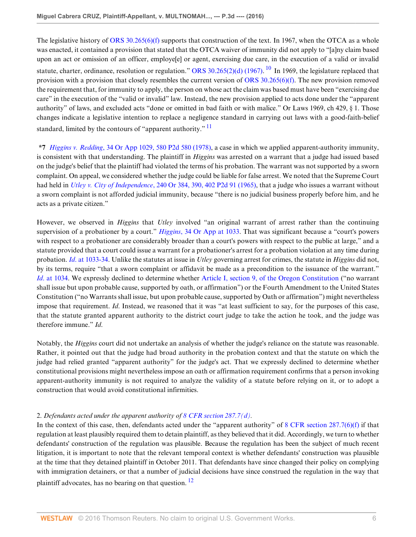<span id="page-5-0"></span>The legislative history of [ORS 30.265\(6\)\(f\)](http://www.westlaw.com/Link/Document/FullText?findType=L&pubNum=1000534&cite=ORSTS30.265&originatingDoc=I0f7471303d5611e6a6699ce8baa114cf&refType=SP&originationContext=document&vr=3.0&rs=cblt1.0&transitionType=DocumentItem&contextData=(sc.KeyciteAlert)#co_pp_5aa00000f37c3) supports that construction of the text. In 1967, when the OTCA as a whole was enacted, it contained a provision that stated that the OTCA waiver of immunity did not apply to "[a]ny claim based upon an act or omission of an officer, employe[e] or agent, exercising due care, in the execution of a valid or invalid statute, charter, ordinance, resolution or regulation." [ORS 30.265\(2\)\(d\) \(1967\).](http://www.westlaw.com/Link/Document/FullText?findType=L&pubNum=1000534&cite=ORSTS30.265&originatingDoc=I0f7471303d5611e6a6699ce8baa114cf&refType=SP&originationContext=document&vr=3.0&rs=cblt1.0&transitionType=DocumentItem&contextData=(sc.KeyciteAlert)#co_pp_58730000872b1) <sup>[10](#page-10-6)</sup> In 1969, the legislature replaced that provision with a provision that closely resembles the current version of ORS  $30.265(6)$ (f). The new provision removed the requirement that, for immunity to apply, the person on whose act the claim was based must have been "exercising due care" in the execution of the "valid or invalid" law. Instead, the new provision applied to acts done under the "apparent authority" of laws, and excluded acts "done or omitted in bad faith or with malice." Or Laws 1969, ch 429, § 1. Those changes indicate a legislative intention to replace a negligence standard in carrying out laws with a good-faith-belief standard, limited by the contours of "apparent authority." <sup>[11](#page-11-0)</sup>

<span id="page-5-1"></span>**\*7** *Higgins v. Redding*[, 34 Or App 1029, 580 P2d 580 \(1978\),](http://www.westlaw.com/Link/Document/FullText?findType=Y&serNum=1978129445&pubNum=0000661&originatingDoc=I0f7471303d5611e6a6699ce8baa114cf&refType=RP&originationContext=document&vr=3.0&rs=cblt1.0&transitionType=DocumentItem&contextData=(sc.KeyciteAlert)) a case in which we applied apparent-authority immunity, is consistent with that understanding. The plaintiff in *Higgins* was arrested on a warrant that a judge had issued based on the judge's belief that the plaintiff had violated the terms of his probation. The warrant was not supported by a sworn complaint. On appeal, we considered whether the judge could be liable for false arrest. We noted that the Supreme Court had held in *Utley v. City of Independence*[, 240 Or 384, 390, 402 P2d 91 \(1965\),](http://www.westlaw.com/Link/Document/FullText?findType=Y&serNum=1965123314&pubNum=0000661&originatingDoc=I0f7471303d5611e6a6699ce8baa114cf&refType=RP&originationContext=document&vr=3.0&rs=cblt1.0&transitionType=DocumentItem&contextData=(sc.KeyciteAlert)) that a judge who issues a warrant without a sworn complaint is not afforded judicial immunity, because "there is no judicial business properly before him, and he acts as a private citizen."

However, we observed in *Higgins* that *Utley* involved "an original warrant of arrest rather than the continuing supervision of a probationer by a court." *Higgins*[, 34 Or App at 1033](http://www.westlaw.com/Link/Document/FullText?findType=Y&serNum=1978129445&pubNum=0000642&originatingDoc=I0f7471303d5611e6a6699ce8baa114cf&refType=RP&fi=co_pp_sp_642_1033&originationContext=document&vr=3.0&rs=cblt1.0&transitionType=DocumentItem&contextData=(sc.KeyciteAlert)#co_pp_sp_642_1033). That was significant because a "court's powers with respect to a probationer are considerably broader than a court's powers with respect to the public at large," and a statute provided that a court could issue a warrant for a probationer's arrest for a probation violation at any time during probation. *Id*[. at 1033-34](http://www.westlaw.com/Link/Document/FullText?findType=Y&serNum=1978129445&pubNum=0000642&originatingDoc=I0f7471303d5611e6a6699ce8baa114cf&refType=RP&fi=co_pp_sp_642_1033&originationContext=document&vr=3.0&rs=cblt1.0&transitionType=DocumentItem&contextData=(sc.KeyciteAlert)#co_pp_sp_642_1033). Unlike the statutes at issue in *Utley* governing arrest for crimes, the statute in *Higgins* did not, by its terms, require "that a sworn complaint or affidavit be made as a precondition to the issuance of the warrant." *Id.* at 1034. We expressly declined to determine whether [Article I, section 9, of the Oregon Constitution](http://www.westlaw.com/Link/Document/FullText?findType=L&pubNum=1003293&cite=ORCNARTIS9&originatingDoc=I0f7471303d5611e6a6699ce8baa114cf&refType=LQ&originationContext=document&vr=3.0&rs=cblt1.0&transitionType=DocumentItem&contextData=(sc.KeyciteAlert)) ("no warrant shall issue but upon probable cause, supported by oath, or affirmation") or the Fourth Amendment to the United States Constitution ("no Warrants shall issue, but upon probable cause, supported by Oath or affirmation") might nevertheless impose that requirement. *Id*. Instead, we reasoned that it was "at least sufficient to say, for the purposes of this case, that the statute granted apparent authority to the district court judge to take the action he took, and the judge was therefore immune." *Id*.

Notably, the *Higgins* court did not undertake an analysis of whether the judge's reliance on the statute was reasonable. Rather, it pointed out that the judge had broad authority in the probation context and that the statute on which the judge had relied granted "apparent authority" for the judge's act. That we expressly declined to determine whether constitutional provisions might nevertheless impose an oath or affirmation requirement confirms that a person invoking apparent-authority immunity is not required to analyze the validity of a statute before relying on it, or to adopt a construction that would avoid constitutional infirmities.

## 2. *Defendants acted under the apparent authority of [8 CFR section 287.7\(d\)](http://www.westlaw.com/Link/Document/FullText?findType=L&pubNum=1000547&cite=8CFRS287.7&originatingDoc=I0f7471303d5611e6a6699ce8baa114cf&refType=LQ&originationContext=document&vr=3.0&rs=cblt1.0&transitionType=DocumentItem&contextData=(sc.KeyciteAlert)).*

<span id="page-5-2"></span>In the context of this case, then, defendants acted under the "apparent authority" of  $8$  CFR section 287.7(6)(f) if that regulation at least plausibly required them to detain plaintiff, as they believed that it did. Accordingly, we turn to whether defendants' construction of the regulation was plausible. Because the regulation has been the subject of much recent litigation, it is important to note that the relevant temporal context is whether defendants' construction was plausible at the time that they detained plaintiff in October 2011. That defendants have since changed their policy on complying with immigration detainers, or that a number of judicial decisions have since construed the regulation in the way that plaintiff advocates, has no bearing on that question.  $^{12}$  $^{12}$  $^{12}$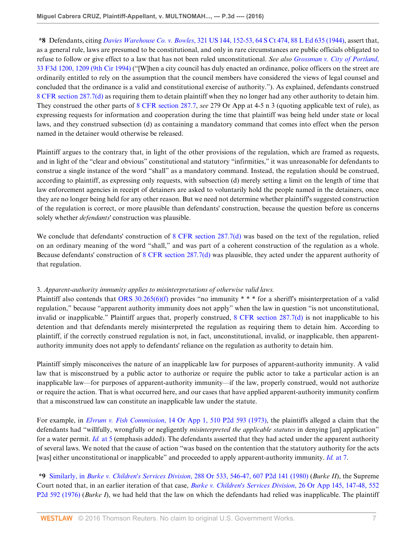**\*8** Defendants, citing *Davies Warehouse Co. v. Bowles*[, 321 US 144, 152-53, 64 S Ct 474, 88 L Ed 635 \(1944\),](http://www.westlaw.com/Link/Document/FullText?findType=Y&serNum=1944114960&pubNum=0000708&originatingDoc=I0f7471303d5611e6a6699ce8baa114cf&refType=RP&originationContext=document&vr=3.0&rs=cblt1.0&transitionType=DocumentItem&contextData=(sc.KeyciteAlert)) assert that, as a general rule, laws are presumed to be constitutional, and only in rare circumstances are public officials obligated to refuse to follow or give effect to a law that has not been ruled unconstitutional. *See also [Grossman v. City of Portland](http://www.westlaw.com/Link/Document/FullText?findType=Y&serNum=1994180907&pubNum=0000506&originatingDoc=I0f7471303d5611e6a6699ce8baa114cf&refType=RP&fi=co_pp_sp_506_1209&originationContext=document&vr=3.0&rs=cblt1.0&transitionType=DocumentItem&contextData=(sc.KeyciteAlert)#co_pp_sp_506_1209)*, [33 F3d 1200, 1209 \(9th Cir 1994\)](http://www.westlaw.com/Link/Document/FullText?findType=Y&serNum=1994180907&pubNum=0000506&originatingDoc=I0f7471303d5611e6a6699ce8baa114cf&refType=RP&fi=co_pp_sp_506_1209&originationContext=document&vr=3.0&rs=cblt1.0&transitionType=DocumentItem&contextData=(sc.KeyciteAlert)#co_pp_sp_506_1209) ("[W]hen a city council has duly enacted an ordinance, police officers on the street are ordinarily entitled to rely on the assumption that the council members have considered the views of legal counsel and concluded that the ordinance is a valid and constitutional exercise of authority."). As explained, defendants construed [8 CFR section 287.7\(d\)](http://www.westlaw.com/Link/Document/FullText?findType=L&pubNum=1000547&cite=8CFRS287.7&originatingDoc=I0f7471303d5611e6a6699ce8baa114cf&refType=LQ&originationContext=document&vr=3.0&rs=cblt1.0&transitionType=DocumentItem&contextData=(sc.KeyciteAlert)) as requiring them to detain plaintiff when they no longer had any other authority to detain him. They construed the other parts of [8 CFR section 287.7,](http://www.westlaw.com/Link/Document/FullText?findType=L&pubNum=1000547&cite=8CFRS287.7&originatingDoc=I0f7471303d5611e6a6699ce8baa114cf&refType=LQ&originationContext=document&vr=3.0&rs=cblt1.0&transitionType=DocumentItem&contextData=(sc.KeyciteAlert)) *see* 279 Or App at 4-5 n 3 (quoting applicable text of rule), as expressing requests for information and cooperation during the time that plaintiff was being held under state or local laws, and they construed subsection (d) as containing a mandatory command that comes into effect when the person named in the detainer would otherwise be released.

Plaintiff argues to the contrary that, in light of the other provisions of the regulation, which are framed as requests, and in light of the "clear and obvious" constitutional and statutory "infirmities," it was unreasonable for defendants to construe a single instance of the word "shall" as a mandatory command. Instead, the regulation should be construed, according to plaintiff, as expressing only requests, with subsection (d) merely setting a limit on the length of time that law enforcement agencies in receipt of detainers are asked to voluntarily hold the people named in the detainers, once they are no longer being held for any other reason. But we need not determine whether plaintiff's suggested construction of the regulation is correct, or more plausible than defendants' construction, because the question before us concerns solely whether *defendants'* construction was plausible.

We conclude that defendants' construction of  $8$  CFR section 287.7(d) was based on the text of the regulation, relied on an ordinary meaning of the word "shall," and was part of a coherent construction of the regulation as a whole. Because defendants' construction of [8 CFR section 287.7\(d\)](http://www.westlaw.com/Link/Document/FullText?findType=L&pubNum=1000547&cite=8CFRS287.7&originatingDoc=I0f7471303d5611e6a6699ce8baa114cf&refType=LQ&originationContext=document&vr=3.0&rs=cblt1.0&transitionType=DocumentItem&contextData=(sc.KeyciteAlert)) was plausible, they acted under the apparent authority of that regulation.

# 3. *Apparent-authority immunity applies to misinterpretations of otherwise valid laws.*

Plaintiff also contends that [ORS 30.265\(6\)\(f\)](http://www.westlaw.com/Link/Document/FullText?findType=L&pubNum=1000534&cite=ORSTS30.265&originatingDoc=I0f7471303d5611e6a6699ce8baa114cf&refType=SP&originationContext=document&vr=3.0&rs=cblt1.0&transitionType=DocumentItem&contextData=(sc.KeyciteAlert)#co_pp_5aa00000f37c3) provides "no immunity  $* * *$  for a sheriff's misinterpretation of a valid regulation," because "apparent authority immunity does not apply" when the law in question "is not unconstitutional, invalid or inapplicable." Plaintiff argues that, properly construed, [8 CFR section 287.7\(d\)](http://www.westlaw.com/Link/Document/FullText?findType=L&pubNum=1000547&cite=8CFRS287.7&originatingDoc=I0f7471303d5611e6a6699ce8baa114cf&refType=LQ&originationContext=document&vr=3.0&rs=cblt1.0&transitionType=DocumentItem&contextData=(sc.KeyciteAlert)) is not inapplicable to his detention and that defendants merely misinterpreted the regulation as requiring them to detain him. According to plaintiff, if the correctly construed regulation is not, in fact, unconstitutional, invalid, or inapplicable, then apparentauthority immunity does not apply to defendants' reliance on the regulation as authority to detain him.

Plaintiff simply misconceives the nature of an inapplicable law for purposes of apparent-authority immunity. A valid law that is misconstrued by a public actor to authorize or require the public actor to take a particular action is an inapplicable law—for purposes of apparent-authority immunity—if the law, properly construed, would not authorize or require the action. That is what occurred here, and our cases that have applied apparent-authority immunity confirm that a misconstrued law can constitute an inapplicable law under the statute.

For example, in *Elvrum v. Fish Commission*[, 14 Or App 1, 510 P2d 593 \(1973\),](http://www.westlaw.com/Link/Document/FullText?findType=Y&serNum=1973123629&pubNum=0000661&originatingDoc=I0f7471303d5611e6a6699ce8baa114cf&refType=RP&originationContext=document&vr=3.0&rs=cblt1.0&transitionType=DocumentItem&contextData=(sc.KeyciteAlert)) the plaintiffs alleged a claim that the defendants had "willfully, wrongfully or negligently *misinterpreted the applicable statutes* in denying [an] application" for a water permit. *Id.* [at 5](http://www.westlaw.com/Link/Document/FullText?findType=Y&serNum=1973123629&pubNum=0000642&originatingDoc=I0f7471303d5611e6a6699ce8baa114cf&refType=RP&fi=co_pp_sp_642_5&originationContext=document&vr=3.0&rs=cblt1.0&transitionType=DocumentItem&contextData=(sc.KeyciteAlert)#co_pp_sp_642_5) (emphasis added). The defendants asserted that they had acted under the apparent authority of several laws. We noted that the cause of action "was based on the contention that the statutory authority for the acts [was] either unconstitutional or inapplicable" and proceeded to apply apparent-authority immunity. *Id.* [at 7](http://www.westlaw.com/Link/Document/FullText?findType=Y&serNum=1973123629&pubNum=0000642&originatingDoc=I0f7471303d5611e6a6699ce8baa114cf&refType=RP&fi=co_pp_sp_642_7&originationContext=document&vr=3.0&rs=cblt1.0&transitionType=DocumentItem&contextData=(sc.KeyciteAlert)#co_pp_sp_642_7).

**\*9** Similarly, in *Burke v. Children's Services Division*[, 288 Or 533, 546-47, 607 P2d 141 \(1980\)](http://www.westlaw.com/Link/Document/FullText?findType=Y&serNum=1980104238&pubNum=0000661&originatingDoc=I0f7471303d5611e6a6699ce8baa114cf&refType=RP&originationContext=document&vr=3.0&rs=cblt1.0&transitionType=DocumentItem&contextData=(sc.KeyciteAlert)) (*Burke II*), the Supreme Court noted that, in an earlier iteration of that case, *[Burke v. Children's Services Division](http://www.westlaw.com/Link/Document/FullText?findType=Y&serNum=1976133127&pubNum=0000661&originatingDoc=I0f7471303d5611e6a6699ce8baa114cf&refType=RP&originationContext=document&vr=3.0&rs=cblt1.0&transitionType=DocumentItem&contextData=(sc.KeyciteAlert))*, 26 Or App 145, 147-48, 552 [P2d 592 \(1976\)](http://www.westlaw.com/Link/Document/FullText?findType=Y&serNum=1976133127&pubNum=0000661&originatingDoc=I0f7471303d5611e6a6699ce8baa114cf&refType=RP&originationContext=document&vr=3.0&rs=cblt1.0&transitionType=DocumentItem&contextData=(sc.KeyciteAlert)) (*Burke I*), we had held that the law on which the defendants had relied was inapplicable. The plaintiff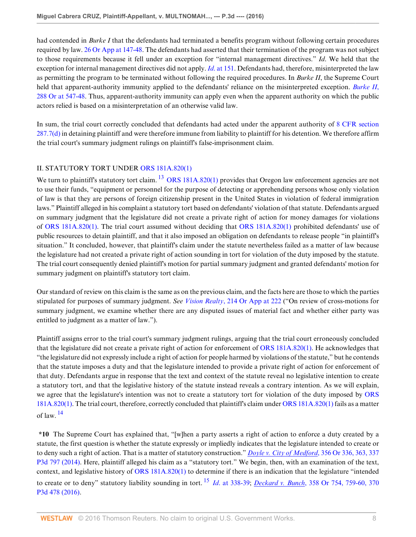had contended in *Burke I* that the defendants had terminated a benefits program without following certain procedures required by law. [26 Or App at 147-48](http://www.westlaw.com/Link/Document/FullText?findType=Y&serNum=1976133127&pubNum=0000642&originatingDoc=I0f7471303d5611e6a6699ce8baa114cf&refType=RP&fi=co_pp_sp_642_147&originationContext=document&vr=3.0&rs=cblt1.0&transitionType=DocumentItem&contextData=(sc.KeyciteAlert)#co_pp_sp_642_147). The defendants had asserted that their termination of the program was not subject to those requirements because it fell under an exception for "internal management directives." *Id*. We held that the exception for internal management directives did not apply. *Id*[. at 151.](http://www.westlaw.com/Link/Document/FullText?findType=Y&serNum=1976133127&pubNum=0000642&originatingDoc=I0f7471303d5611e6a6699ce8baa114cf&refType=RP&fi=co_pp_sp_642_151&originationContext=document&vr=3.0&rs=cblt1.0&transitionType=DocumentItem&contextData=(sc.KeyciteAlert)#co_pp_sp_642_151) Defendants had, therefore, misinterpreted the law as permitting the program to be terminated without following the required procedures. In *Burke II*, the Supreme Court held that apparent-authority immunity applied to the defendants' reliance on the misinterpreted exception. *[Burke II](http://www.westlaw.com/Link/Document/FullText?findType=Y&serNum=1980104238&pubNum=0000641&originatingDoc=I0f7471303d5611e6a6699ce8baa114cf&refType=RP&fi=co_pp_sp_641_547&originationContext=document&vr=3.0&rs=cblt1.0&transitionType=DocumentItem&contextData=(sc.KeyciteAlert)#co_pp_sp_641_547)*, [288 Or at 547-48.](http://www.westlaw.com/Link/Document/FullText?findType=Y&serNum=1980104238&pubNum=0000641&originatingDoc=I0f7471303d5611e6a6699ce8baa114cf&refType=RP&fi=co_pp_sp_641_547&originationContext=document&vr=3.0&rs=cblt1.0&transitionType=DocumentItem&contextData=(sc.KeyciteAlert)#co_pp_sp_641_547) Thus, apparent-authority immunity can apply even when the apparent authority on which the public actors relied is based on a misinterpretation of an otherwise valid law.

In sum, the trial court correctly concluded that defendants had acted under the apparent authority of [8 CFR section](http://www.westlaw.com/Link/Document/FullText?findType=L&pubNum=1000547&cite=8CFRS287.7&originatingDoc=I0f7471303d5611e6a6699ce8baa114cf&refType=LQ&originationContext=document&vr=3.0&rs=cblt1.0&transitionType=DocumentItem&contextData=(sc.KeyciteAlert)) [287.7\(d\)](http://www.westlaw.com/Link/Document/FullText?findType=L&pubNum=1000547&cite=8CFRS287.7&originatingDoc=I0f7471303d5611e6a6699ce8baa114cf&refType=LQ&originationContext=document&vr=3.0&rs=cblt1.0&transitionType=DocumentItem&contextData=(sc.KeyciteAlert)) in detaining plaintiff and were therefore immune from liability to plaintiff for his detention. We therefore affirm the trial court's summary judgment rulings on plaintiff's false-imprisonment claim.

## II. STATUTORY TORT UNDER [ORS 181A.820\(1\)](http://www.westlaw.com/Link/Document/FullText?findType=L&pubNum=1000534&cite=ORSTS181A.820&originatingDoc=I0f7471303d5611e6a6699ce8baa114cf&refType=SP&originationContext=document&vr=3.0&rs=cblt1.0&transitionType=DocumentItem&contextData=(sc.KeyciteAlert)#co_pp_f1c50000821b0)

<span id="page-7-0"></span>We turn to plaintiff's statutory tort claim. <sup>[13](#page-11-2)</sup> [ORS 181A.820\(1\)](http://www.westlaw.com/Link/Document/FullText?findType=L&pubNum=1000534&cite=ORSTS181A.820&originatingDoc=I0f7471303d5611e6a6699ce8baa114cf&refType=SP&originationContext=document&vr=3.0&rs=cblt1.0&transitionType=DocumentItem&contextData=(sc.KeyciteAlert)#co_pp_f1c50000821b0) provides that Oregon law enforcement agencies are not to use their funds, "equipment or personnel for the purpose of detecting or apprehending persons whose only violation of law is that they are persons of foreign citizenship present in the United States in violation of federal immigration laws." Plaintiff alleged in his complaint a statutory tort based on defendants' violation of that statute. Defendants argued on summary judgment that the legislature did not create a private right of action for money damages for violations of [ORS 181A.820\(1\).](http://www.westlaw.com/Link/Document/FullText?findType=L&pubNum=1000534&cite=ORSTS181A.820&originatingDoc=I0f7471303d5611e6a6699ce8baa114cf&refType=SP&originationContext=document&vr=3.0&rs=cblt1.0&transitionType=DocumentItem&contextData=(sc.KeyciteAlert)#co_pp_f1c50000821b0) The trial court assumed without deciding that [ORS 181A.820\(1\)](http://www.westlaw.com/Link/Document/FullText?findType=L&pubNum=1000534&cite=ORSTS181A.820&originatingDoc=I0f7471303d5611e6a6699ce8baa114cf&refType=SP&originationContext=document&vr=3.0&rs=cblt1.0&transitionType=DocumentItem&contextData=(sc.KeyciteAlert)#co_pp_f1c50000821b0) prohibited defendants' use of public resources to detain plaintiff, and that it also imposed an obligation on defendants to release people "in plaintiff's situation." It concluded, however, that plaintiff's claim under the statute nevertheless failed as a matter of law because the legislature had not created a private right of action sounding in tort for violation of the duty imposed by the statute. The trial court consequently denied plaintiff's motion for partial summary judgment and granted defendants' motion for summary judgment on plaintiff's statutory tort claim.

Our standard of review on this claim is the same as on the previous claim, and the facts here are those to which the parties stipulated for purposes of summary judgment. *See Vision Realty*[, 214 Or App at 222](http://www.westlaw.com/Link/Document/FullText?findType=Y&serNum=2012773898&pubNum=0000642&originatingDoc=I0f7471303d5611e6a6699ce8baa114cf&refType=RP&fi=co_pp_sp_642_222&originationContext=document&vr=3.0&rs=cblt1.0&transitionType=DocumentItem&contextData=(sc.KeyciteAlert)#co_pp_sp_642_222) ("On review of cross-motions for summary judgment, we examine whether there are any disputed issues of material fact and whether either party was entitled to judgment as a matter of law.").

Plaintiff assigns error to the trial court's summary judgment rulings, arguing that the trial court erroneously concluded that the legislature did not create a private right of action for enforcement of [ORS 181A.820\(1\).](http://www.westlaw.com/Link/Document/FullText?findType=L&pubNum=1000534&cite=ORSTS181A.820&originatingDoc=I0f7471303d5611e6a6699ce8baa114cf&refType=SP&originationContext=document&vr=3.0&rs=cblt1.0&transitionType=DocumentItem&contextData=(sc.KeyciteAlert)#co_pp_f1c50000821b0) He acknowledges that "the legislature did not expressly include a right of action for people harmed by violations of the statute," but he contends that the statute imposes a duty and that the legislature intended to provide a private right of action for enforcement of that duty. Defendants argue in response that the text and context of the statute reveal no legislative intention to create a statutory tort, and that the legislative history of the statute instead reveals a contrary intention. As we will explain, we agree that the legislature's intention was not to create a statutory tort for violation of the duty imposed by [ORS](http://www.westlaw.com/Link/Document/FullText?findType=L&pubNum=1000534&cite=ORSTS181A.820&originatingDoc=I0f7471303d5611e6a6699ce8baa114cf&refType=SP&originationContext=document&vr=3.0&rs=cblt1.0&transitionType=DocumentItem&contextData=(sc.KeyciteAlert)#co_pp_f1c50000821b0) [181A.820\(1\)](http://www.westlaw.com/Link/Document/FullText?findType=L&pubNum=1000534&cite=ORSTS181A.820&originatingDoc=I0f7471303d5611e6a6699ce8baa114cf&refType=SP&originationContext=document&vr=3.0&rs=cblt1.0&transitionType=DocumentItem&contextData=(sc.KeyciteAlert)#co_pp_f1c50000821b0). The trial court, therefore, correctly concluded that plaintiff's claim under [ORS 181A.820\(1\)](http://www.westlaw.com/Link/Document/FullText?findType=L&pubNum=1000534&cite=ORSTS181A.820&originatingDoc=I0f7471303d5611e6a6699ce8baa114cf&refType=SP&originationContext=document&vr=3.0&rs=cblt1.0&transitionType=DocumentItem&contextData=(sc.KeyciteAlert)#co_pp_f1c50000821b0) fails as a matter of law. [14](#page-11-3)

<span id="page-7-2"></span><span id="page-7-1"></span>**\*10** The Supreme Court has explained that, "[w]hen a party asserts a right of action to enforce a duty created by a statute, the first question is whether the statute expressly or impliedly indicates that the legislature intended to create or to deny such a right of action. That is a matter of statutory construction." *[Doyle v. City of Medford](http://www.westlaw.com/Link/Document/FullText?findType=Y&serNum=2034583287&pubNum=0004645&originatingDoc=I0f7471303d5611e6a6699ce8baa114cf&refType=RP&originationContext=document&vr=3.0&rs=cblt1.0&transitionType=DocumentItem&contextData=(sc.KeyciteAlert))*, 356 Or 336, 363, 337 [P3d 797 \(2014\).](http://www.westlaw.com/Link/Document/FullText?findType=Y&serNum=2034583287&pubNum=0004645&originatingDoc=I0f7471303d5611e6a6699ce8baa114cf&refType=RP&originationContext=document&vr=3.0&rs=cblt1.0&transitionType=DocumentItem&contextData=(sc.KeyciteAlert)) Here, plaintiff alleged his claim as a "statutory tort." We begin, then, with an examination of the text, context, and legislative history of [ORS 181A.820\(1\)](http://www.westlaw.com/Link/Document/FullText?findType=L&pubNum=1000534&cite=ORSTS181A.820&originatingDoc=I0f7471303d5611e6a6699ce8baa114cf&refType=SP&originationContext=document&vr=3.0&rs=cblt1.0&transitionType=DocumentItem&contextData=(sc.KeyciteAlert)#co_pp_f1c50000821b0) to determine if there is an indication that the legislature "intended to create or to deny" statutory liability sounding in tort. [15](#page-11-4) *Id*[. at 338-39;](http://www.westlaw.com/Link/Document/FullText?findType=Y&serNum=2034583287&pubNum=0000641&originatingDoc=I0f7471303d5611e6a6699ce8baa114cf&refType=RP&fi=co_pp_sp_641_338&originationContext=document&vr=3.0&rs=cblt1.0&transitionType=DocumentItem&contextData=(sc.KeyciteAlert)#co_pp_sp_641_338) *Deckard v. Bunch*[, 358 Or 754, 759-60, 370](http://www.westlaw.com/Link/Document/FullText?findType=Y&serNum=2038457474&pubNum=0004645&originatingDoc=I0f7471303d5611e6a6699ce8baa114cf&refType=RP&originationContext=document&vr=3.0&rs=cblt1.0&transitionType=DocumentItem&contextData=(sc.KeyciteAlert)) [P3d 478 \(2016\)](http://www.westlaw.com/Link/Document/FullText?findType=Y&serNum=2038457474&pubNum=0004645&originatingDoc=I0f7471303d5611e6a6699ce8baa114cf&refType=RP&originationContext=document&vr=3.0&rs=cblt1.0&transitionType=DocumentItem&contextData=(sc.KeyciteAlert)).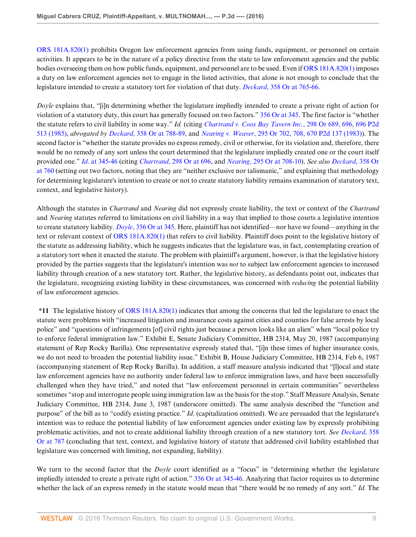[ORS 181A.820\(1\)](http://www.westlaw.com/Link/Document/FullText?findType=L&pubNum=1000534&cite=ORSTS181A.820&originatingDoc=I0f7471303d5611e6a6699ce8baa114cf&refType=SP&originationContext=document&vr=3.0&rs=cblt1.0&transitionType=DocumentItem&contextData=(sc.KeyciteAlert)#co_pp_f1c50000821b0) prohibits Oregon law enforcement agencies from using funds, equipment, or personnel on certain activities. It appears to be in the nature of a policy directive from the state to law enforcement agencies and the public bodies overseeing them on how public funds, equipment, and personnel are to be used. Even if [ORS 181A.820\(1\)](http://www.westlaw.com/Link/Document/FullText?findType=L&pubNum=1000534&cite=ORSTS181A.820&originatingDoc=I0f7471303d5611e6a6699ce8baa114cf&refType=SP&originationContext=document&vr=3.0&rs=cblt1.0&transitionType=DocumentItem&contextData=(sc.KeyciteAlert)#co_pp_f1c50000821b0) imposes a duty on law enforcement agencies not to engage in the listed activities, that alone is not enough to conclude that the legislature intended to create a statutory tort for violation of that duty. *Deckard*[, 358 Or at 765-66.](http://www.westlaw.com/Link/Document/FullText?findType=Y&serNum=2038457474&pubNum=0000641&originatingDoc=I0f7471303d5611e6a6699ce8baa114cf&refType=RP&fi=co_pp_sp_641_765&originationContext=document&vr=3.0&rs=cblt1.0&transitionType=DocumentItem&contextData=(sc.KeyciteAlert)#co_pp_sp_641_765)

*Doyle* explains that, "[i]n determining whether the legislature impliedly intended to create a private right of action for violation of a statutory duty, this court has generally focused on two factors." [356 Or at 345](http://www.westlaw.com/Link/Document/FullText?findType=Y&serNum=2034583287&pubNum=0000641&originatingDoc=I0f7471303d5611e6a6699ce8baa114cf&refType=RP&fi=co_pp_sp_641_345&originationContext=document&vr=3.0&rs=cblt1.0&transitionType=DocumentItem&contextData=(sc.KeyciteAlert)#co_pp_sp_641_345). The first factor is "whether the statute refers to civil liability in some way." *Id.* (citing *[Chartrand v. Coos Bay Tavern Inc.](http://www.westlaw.com/Link/Document/FullText?findType=Y&serNum=1985110171&pubNum=0000661&originatingDoc=I0f7471303d5611e6a6699ce8baa114cf&refType=RP&originationContext=document&vr=3.0&rs=cblt1.0&transitionType=DocumentItem&contextData=(sc.KeyciteAlert))*, 298 Or 689, 696, 696 P2d [513 \(1985\)](http://www.westlaw.com/Link/Document/FullText?findType=Y&serNum=1985110171&pubNum=0000661&originatingDoc=I0f7471303d5611e6a6699ce8baa114cf&refType=RP&originationContext=document&vr=3.0&rs=cblt1.0&transitionType=DocumentItem&contextData=(sc.KeyciteAlert)), *abrogated by Deckard*[, 358 Or at 788-89](http://www.westlaw.com/Link/Document/FullText?findType=Y&serNum=2038457474&pubNum=0000641&originatingDoc=I0f7471303d5611e6a6699ce8baa114cf&refType=RP&fi=co_pp_sp_641_788&originationContext=document&vr=3.0&rs=cblt1.0&transitionType=DocumentItem&contextData=(sc.KeyciteAlert)#co_pp_sp_641_788), and *Nearing v. Weaver*[, 295 Or 702, 708, 670 P2d 137 \(1983\)\)](http://www.westlaw.com/Link/Document/FullText?findType=Y&serNum=1983145394&pubNum=0000661&originatingDoc=I0f7471303d5611e6a6699ce8baa114cf&refType=RP&originationContext=document&vr=3.0&rs=cblt1.0&transitionType=DocumentItem&contextData=(sc.KeyciteAlert)). The second factor is "whether the statute provides no express remedy, civil or otherwise, for its violation and, therefore, there would be no remedy of any sort unless the court determined that the legislature impliedly created one or the court itself provided one." *Id*[. at 345-46](http://www.westlaw.com/Link/Document/FullText?findType=Y&serNum=2034583287&pubNum=0000641&originatingDoc=I0f7471303d5611e6a6699ce8baa114cf&refType=RP&fi=co_pp_sp_641_345&originationContext=document&vr=3.0&rs=cblt1.0&transitionType=DocumentItem&contextData=(sc.KeyciteAlert)#co_pp_sp_641_345) (citing *Chartrand*[, 298 Or at 696,](http://www.westlaw.com/Link/Document/FullText?findType=Y&serNum=1985110171&pubNum=0000641&originatingDoc=I0f7471303d5611e6a6699ce8baa114cf&refType=RP&fi=co_pp_sp_641_696&originationContext=document&vr=3.0&rs=cblt1.0&transitionType=DocumentItem&contextData=(sc.KeyciteAlert)#co_pp_sp_641_696) and *Nearing*[, 295 Or at 708-10\)](http://www.westlaw.com/Link/Document/FullText?findType=Y&serNum=1983145394&pubNum=0000641&originatingDoc=I0f7471303d5611e6a6699ce8baa114cf&refType=RP&fi=co_pp_sp_641_708&originationContext=document&vr=3.0&rs=cblt1.0&transitionType=DocumentItem&contextData=(sc.KeyciteAlert)#co_pp_sp_641_708). *See also [Deckard](http://www.westlaw.com/Link/Document/FullText?findType=Y&serNum=2038457474&pubNum=0000641&originatingDoc=I0f7471303d5611e6a6699ce8baa114cf&refType=RP&fi=co_pp_sp_641_760&originationContext=document&vr=3.0&rs=cblt1.0&transitionType=DocumentItem&contextData=(sc.KeyciteAlert)#co_pp_sp_641_760)*, 358 Or [at 760](http://www.westlaw.com/Link/Document/FullText?findType=Y&serNum=2038457474&pubNum=0000641&originatingDoc=I0f7471303d5611e6a6699ce8baa114cf&refType=RP&fi=co_pp_sp_641_760&originationContext=document&vr=3.0&rs=cblt1.0&transitionType=DocumentItem&contextData=(sc.KeyciteAlert)#co_pp_sp_641_760) (setting out two factors, noting that they are "neither exclusive nor talismanic," and explaining that methodology for determining legislature's intention to create or not to create statutory liability remains examination of statutory text, context, and legislative history).

Although the statutes in *Chartrand* and *Nearing* did not expressly create liability, the text or context of the *Chartrand* and *Nearing* statutes referred to limitations on civil liability in a way that implied to those courts a legislative intention to create statutory liability. *Doyle*[, 356 Or at 345.](http://www.westlaw.com/Link/Document/FullText?findType=Y&serNum=2034583287&pubNum=0000641&originatingDoc=I0f7471303d5611e6a6699ce8baa114cf&refType=RP&fi=co_pp_sp_641_345&originationContext=document&vr=3.0&rs=cblt1.0&transitionType=DocumentItem&contextData=(sc.KeyciteAlert)#co_pp_sp_641_345) Here, plaintiff has not identified—nor have we found—anything in the text or relevant context of [ORS 181A.820\(1\)](http://www.westlaw.com/Link/Document/FullText?findType=L&pubNum=1000534&cite=ORSTS181A.820&originatingDoc=I0f7471303d5611e6a6699ce8baa114cf&refType=SP&originationContext=document&vr=3.0&rs=cblt1.0&transitionType=DocumentItem&contextData=(sc.KeyciteAlert)#co_pp_f1c50000821b0) that refers to civil liability. Plaintiff does point to the legislative history of the statute as addressing liability, which he suggests indicates that the legislature was, in fact, contemplating creation of a statutory tort when it enacted the statute. The problem with plaintiff's argument, however, is that the legislative history provided by the parties suggests that the legislature's intention was *not* to subject law enforcement agencies to increased liability through creation of a new statutory tort. Rather, the legislative history, as defendants point out, indicates that the legislature, recognizing existing liability in these circumstances, was concerned with *reducing* the potential liability of law enforcement agencies.

**\*11** The legislative history of [ORS 181A.820\(1\)](http://www.westlaw.com/Link/Document/FullText?findType=L&pubNum=1000534&cite=ORSTS181A.820&originatingDoc=I0f7471303d5611e6a6699ce8baa114cf&refType=SP&originationContext=document&vr=3.0&rs=cblt1.0&transitionType=DocumentItem&contextData=(sc.KeyciteAlert)#co_pp_f1c50000821b0) indicates that among the concerns that led the legislature to enact the statute were problems with "increased litigation and insurance costs against cities and counties for false arrests by local police" and "questions of infringements [of] civil rights just because a person looks like an alien" when "local police try to enforce federal immigration law." Exhibit E, Senate Judiciary Committee, HB 2314, May 20, 1987 (accompanying statement of Rep Rocky Barilla). One representative expressly stated that, "[i]n these times of higher insurance costs, we do not need to broaden the potential liability issue." Exhibit B, House Judiciary Committee, HB 2314, Feb 6, 1987 (accompanying statement of Rep Rocky Barilla). In addition, a staff measure analysis indicated that "[l]ocal and state law enforcement agencies have no authority under federal law to enforce immigration laws, and have been successfully challenged when they have tried," and noted that "law enforcement personnel in certain communities" nevertheless sometimes "stop and interrogate people using immigration law as the basis for the stop." Staff Measure Analysis, Senate Judiciary Committee, HB 2314, June 3, 1987 (underscore omitted). The same analysis described the "function and purpose" of the bill as to "codify existing practice." *Id*. (capitalization omitted). We are persuaded that the legislature's intention was to reduce the potential liability of law enforcement agencies under existing law by expressly prohibiting problematic activities, and not to create additional liability through creation of a new statutory tort. *See [Deckard](http://www.westlaw.com/Link/Document/FullText?findType=Y&serNum=2038457474&pubNum=0000641&originatingDoc=I0f7471303d5611e6a6699ce8baa114cf&refType=RP&fi=co_pp_sp_641_787&originationContext=document&vr=3.0&rs=cblt1.0&transitionType=DocumentItem&contextData=(sc.KeyciteAlert)#co_pp_sp_641_787)*, 358 [Or at 787](http://www.westlaw.com/Link/Document/FullText?findType=Y&serNum=2038457474&pubNum=0000641&originatingDoc=I0f7471303d5611e6a6699ce8baa114cf&refType=RP&fi=co_pp_sp_641_787&originationContext=document&vr=3.0&rs=cblt1.0&transitionType=DocumentItem&contextData=(sc.KeyciteAlert)#co_pp_sp_641_787) (concluding that text, context, and legislative history of statute that addressed civil liability established that legislature was concerned with limiting, not expanding, liability).

We turn to the second factor that the *Doyle* court identified as a "focus" in "determining whether the legislature impliedly intended to create a private right of action." [356 Or at 345-46.](http://www.westlaw.com/Link/Document/FullText?findType=Y&serNum=2034583287&pubNum=0000641&originatingDoc=I0f7471303d5611e6a6699ce8baa114cf&refType=RP&fi=co_pp_sp_641_345&originationContext=document&vr=3.0&rs=cblt1.0&transitionType=DocumentItem&contextData=(sc.KeyciteAlert)#co_pp_sp_641_345) Analyzing that factor requires us to determine whether the lack of an express remedy in the statute would mean that "there would be no remedy of any sort." *Id.* The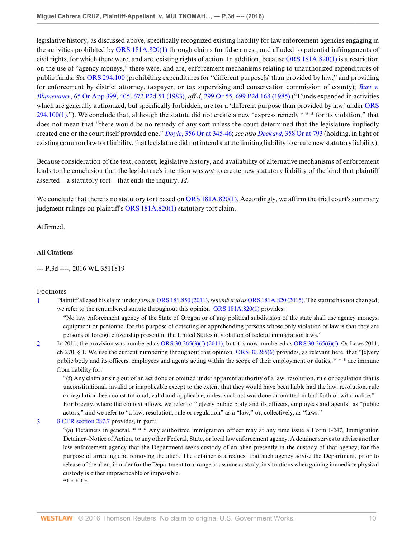legislative history, as discussed above, specifically recognized existing liability for law enforcement agencies engaging in the activities prohibited by [ORS 181A.820\(1\)](http://www.westlaw.com/Link/Document/FullText?findType=L&pubNum=1000534&cite=ORSTS181A.820&originatingDoc=I0f7471303d5611e6a6699ce8baa114cf&refType=SP&originationContext=document&vr=3.0&rs=cblt1.0&transitionType=DocumentItem&contextData=(sc.KeyciteAlert)#co_pp_f1c50000821b0) through claims for false arrest, and alluded to potential infringements of civil rights, for which there were, and are, existing rights of action. In addition, because [ORS 181A.820\(1\)](http://www.westlaw.com/Link/Document/FullText?findType=L&pubNum=1000534&cite=ORSTS181A.820&originatingDoc=I0f7471303d5611e6a6699ce8baa114cf&refType=SP&originationContext=document&vr=3.0&rs=cblt1.0&transitionType=DocumentItem&contextData=(sc.KeyciteAlert)#co_pp_f1c50000821b0) is a restriction on the use of "agency moneys," there were, and are, enforcement mechanisms relating to unauthorized expenditures of public funds. *See* [ORS 294.100](http://www.westlaw.com/Link/Document/FullText?findType=L&pubNum=1000534&cite=ORSTS294.100&originatingDoc=I0f7471303d5611e6a6699ce8baa114cf&refType=LQ&originationContext=document&vr=3.0&rs=cblt1.0&transitionType=DocumentItem&contextData=(sc.KeyciteAlert)) (prohibiting expenditures for "different purpose[s] than provided by law," and providing for enforcement by district attorney, taxpayer, or tax supervising and conservation commission of county); *[Burt v.](http://www.westlaw.com/Link/Document/FullText?findType=Y&serNum=1983151216&pubNum=0000661&originatingDoc=I0f7471303d5611e6a6699ce8baa114cf&refType=RP&originationContext=document&vr=3.0&rs=cblt1.0&transitionType=DocumentItem&contextData=(sc.KeyciteAlert)) Blumenauer*[, 65 Or App 399, 405, 672 P2d 51 \(1983\),](http://www.westlaw.com/Link/Document/FullText?findType=Y&serNum=1983151216&pubNum=0000661&originatingDoc=I0f7471303d5611e6a6699ce8baa114cf&refType=RP&originationContext=document&vr=3.0&rs=cblt1.0&transitionType=DocumentItem&contextData=(sc.KeyciteAlert)) *aff'd*, [299 Or 55, 699 P2d 168 \(1985\)](http://www.westlaw.com/Link/Document/FullText?findType=Y&serNum=1985122192&pubNum=0000661&originatingDoc=I0f7471303d5611e6a6699ce8baa114cf&refType=RP&originationContext=document&vr=3.0&rs=cblt1.0&transitionType=DocumentItem&contextData=(sc.KeyciteAlert)) ("Funds expended in activities which are generally authorized, but specifically forbidden, are for a 'different purpose than provided by law' under [ORS](http://www.westlaw.com/Link/Document/FullText?findType=L&pubNum=1000534&cite=ORSTS294.100&originatingDoc=I0f7471303d5611e6a6699ce8baa114cf&refType=SP&originationContext=document&vr=3.0&rs=cblt1.0&transitionType=DocumentItem&contextData=(sc.KeyciteAlert)#co_pp_f1c50000821b0)  $294.100(1)$ ."). We conclude that, although the statute did not create a new "express remedy  $***$  for its violation," that does not mean that "there would be no remedy of any sort unless the court determined that the legislature impliedly created one or the court itself provided one." *Doyle*[, 356 Or at 345-46](http://www.westlaw.com/Link/Document/FullText?findType=Y&serNum=2034583287&pubNum=0000641&originatingDoc=I0f7471303d5611e6a6699ce8baa114cf&refType=RP&fi=co_pp_sp_641_345&originationContext=document&vr=3.0&rs=cblt1.0&transitionType=DocumentItem&contextData=(sc.KeyciteAlert)#co_pp_sp_641_345); *see also Deckard*[, 358 Or at 793](http://www.westlaw.com/Link/Document/FullText?findType=Y&serNum=2038457474&pubNum=0000641&originatingDoc=I0f7471303d5611e6a6699ce8baa114cf&refType=RP&fi=co_pp_sp_641_793&originationContext=document&vr=3.0&rs=cblt1.0&transitionType=DocumentItem&contextData=(sc.KeyciteAlert)#co_pp_sp_641_793) (holding, in light of existing common law tort liability, that legislature did not intend statute limiting liability to create new statutory liability).

Because consideration of the text, context, legislative history, and availability of alternative mechanisms of enforcement leads to the conclusion that the legislature's intention was *not* to create new statutory liability of the kind that plaintiff asserted—a statutory tort—that ends the inquiry. *Id*.

We conclude that there is no statutory tort based on [ORS 181A.820\(1\).](http://www.westlaw.com/Link/Document/FullText?findType=L&pubNum=1000534&cite=ORSTS181A.820&originatingDoc=I0f7471303d5611e6a6699ce8baa114cf&refType=SP&originationContext=document&vr=3.0&rs=cblt1.0&transitionType=DocumentItem&contextData=(sc.KeyciteAlert)#co_pp_f1c50000821b0) Accordingly, we affirm the trial court's summary judgment rulings on plaintiff's [ORS 181A.820\(1\)](http://www.westlaw.com/Link/Document/FullText?findType=L&pubNum=1000534&cite=ORSTS181A.820&originatingDoc=I0f7471303d5611e6a6699ce8baa114cf&refType=SP&originationContext=document&vr=3.0&rs=cblt1.0&transitionType=DocumentItem&contextData=(sc.KeyciteAlert)#co_pp_f1c50000821b0) statutory tort claim.

Affirmed.

### **All Citations**

--- P.3d ----, 2016 WL 3511819

### Footnotes

<span id="page-9-0"></span>[1](#page-0-0) Plaintiff alleged his claim under *former* [ORS 181.850 \(2011\),](http://www.westlaw.com/Link/Document/FullText?findType=L&pubNum=1000534&cite=ORSTS181.850&originatingDoc=I0f7471303d5611e6a6699ce8baa114cf&refType=LQ&originationContext=document&vr=3.0&rs=cblt1.0&transitionType=DocumentItem&contextData=(sc.KeyciteAlert)) *renumbered as* [ORS 181A.820 \(2015\).](http://www.westlaw.com/Link/Document/FullText?findType=L&pubNum=1000534&cite=ORSTS181A.820&originatingDoc=I0f7471303d5611e6a6699ce8baa114cf&refType=LQ&originationContext=document&vr=3.0&rs=cblt1.0&transitionType=DocumentItem&contextData=(sc.KeyciteAlert)) The statute has not changed; we refer to the renumbered statute throughout this opinion. ORS  $181A.820(1)$  provides:

"No law enforcement agency of the State of Oregon or of any political subdivision of the state shall use agency moneys, equipment or personnel for the purpose of detecting or apprehending persons whose only violation of law is that they are persons of foreign citizenship present in the United States in violation of federal immigration laws."

<span id="page-9-1"></span>[2](#page-0-1) In 2011, the provision was numbered as [ORS 30.265\(3\)\(f\) \(2011\)](http://www.westlaw.com/Link/Document/FullText?findType=L&pubNum=1000534&cite=ORSTS30.265&originatingDoc=I0f7471303d5611e6a6699ce8baa114cf&refType=SP&originationContext=document&vr=3.0&rs=cblt1.0&transitionType=DocumentItem&contextData=(sc.KeyciteAlert)#co_pp_d08f0000f5f67), but it is now numbered as [ORS 30.265\(6\)\(f\).](http://www.westlaw.com/Link/Document/FullText?findType=L&pubNum=1000534&cite=ORSTS30.265&originatingDoc=I0f7471303d5611e6a6699ce8baa114cf&refType=SP&originationContext=document&vr=3.0&rs=cblt1.0&transitionType=DocumentItem&contextData=(sc.KeyciteAlert)#co_pp_5aa00000f37c3) Or Laws 2011, ch 270,  $\S$  1. We use the current numbering throughout this opinion. [ORS 30.265\(6\)](http://www.westlaw.com/Link/Document/FullText?findType=L&pubNum=1000534&cite=ORSTS30.265&originatingDoc=I0f7471303d5611e6a6699ce8baa114cf&refType=SP&originationContext=document&vr=3.0&rs=cblt1.0&transitionType=DocumentItem&contextData=(sc.KeyciteAlert)#co_pp_1e9a0000fd6a3) provides, as relevant here, that "[e]very public body and its officers, employees and agents acting within the scope of their employment or duties, \* \* \* are immune from liability for:

"(f) Any claim arising out of an act done or omitted under apparent authority of a law, resolution, rule or regulation that is unconstitutional, invalid or inapplicable except to the extent that they would have been liable had the law, resolution, rule or regulation been constitutional, valid and applicable, unless such act was done or omitted in bad faith or with malice." For brevity, where the context allows, we refer to "[e]very public body and its officers, employees and agents" as "public actors," and we refer to "a law, resolution, rule or regulation" as a "law," or, collectively, as "laws."

### <span id="page-9-2"></span>[3](#page-1-0) [8 CFR section 287.7](http://www.westlaw.com/Link/Document/FullText?findType=L&pubNum=1000547&cite=8CFRS287.7&originatingDoc=I0f7471303d5611e6a6699ce8baa114cf&refType=LQ&originationContext=document&vr=3.0&rs=cblt1.0&transitionType=DocumentItem&contextData=(sc.KeyciteAlert)) provides, in part:

"(a) Detainers in general. \* \* \* Any authorized immigration officer may at any time issue a Form I-247, Immigration Detainer–Notice of Action, to any other Federal, State, or local law enforcement agency. A detainer serves to advise another law enforcement agency that the Department seeks custody of an alien presently in the custody of that agency, for the purpose of arresting and removing the alien. The detainer is a request that such agency advise the Department, prior to release of the alien, in order for the Department to arrange to assume custody, in situations when gaining immediate physical custody is either impracticable or impossible. "\* \* \* \* \*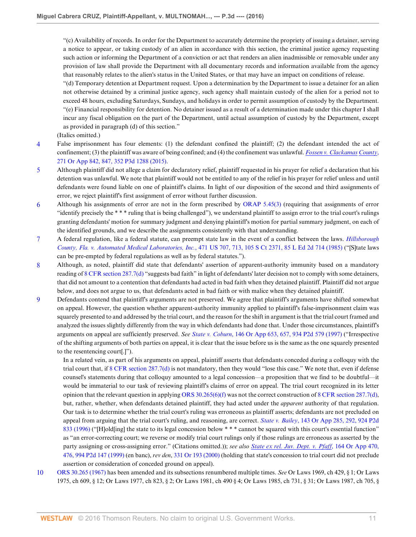"(c) Availability of records. In order for the Department to accurately determine the propriety of issuing a detainer, serving a notice to appear, or taking custody of an alien in accordance with this section, the criminal justice agency requesting such action or informing the Department of a conviction or act that renders an alien inadmissible or removable under any provision of law shall provide the Department with all documentary records and information available from the agency that reasonably relates to the alien's status in the United States, or that may have an impact on conditions of release.

"(d) Temporary detention at Department request. Upon a determination by the Department to issue a detainer for an alien not otherwise detained by a criminal justice agency, such agency shall maintain custody of the alien for a period not to exceed 48 hours, excluding Saturdays, Sundays, and holidays in order to permit assumption of custody by the Department. "(e) Financial responsibility for detention. No detainer issued as a result of a determination made under this chapter I shall incur any fiscal obligation on the part of the Department, until actual assumption of custody by the Department, except as provided in paragraph (d) of this section."

(Italics omitted.)

- <span id="page-10-0"></span>[4](#page-1-1) False imprisonment has four elements: (1) the defendant confined the plaintiff; (2) the defendant intended the act of confinement; (3) the plaintiff was aware of being confined; and (4) the confinement was unlawful. *[Fossen v. Clackamas](http://www.westlaw.com/Link/Document/FullText?findType=Y&serNum=2036483380&pubNum=0004645&originatingDoc=I0f7471303d5611e6a6699ce8baa114cf&refType=RP&originationContext=document&vr=3.0&rs=cblt1.0&transitionType=DocumentItem&contextData=(sc.KeyciteAlert)) County*, [271 Or App 842, 847, 352 P3d 1288 \(2015\)](http://www.westlaw.com/Link/Document/FullText?findType=Y&serNum=2036483380&pubNum=0004645&originatingDoc=I0f7471303d5611e6a6699ce8baa114cf&refType=RP&originationContext=document&vr=3.0&rs=cblt1.0&transitionType=DocumentItem&contextData=(sc.KeyciteAlert)).
- <span id="page-10-1"></span>[5](#page-1-2) Although plaintiff did not allege a claim for declaratory relief, plaintiff requested in his prayer for relief a declaration that his detention was unlawful. We note that plaintiff would not be entitled to any of the relief in his prayer for relief unless and until defendants were found liable on one of plaintiff's claims. In light of our disposition of the second and third assignments of error, we reject plaintiff's first assignment of error without further discussion.
- <span id="page-10-2"></span>[6](#page-1-3) Although his assignments of error are not in the form prescribed by [ORAP 5.45\(3\)](http://www.westlaw.com/Link/Document/FullText?findType=L&pubNum=1006670&cite=ORRRAPORAP5.45&originatingDoc=I0f7471303d5611e6a6699ce8baa114cf&refType=LQ&originationContext=document&vr=3.0&rs=cblt1.0&transitionType=DocumentItem&contextData=(sc.KeyciteAlert)) (requiring that assignments of error "identify precisely the \* \* \* ruling that is being challenged"), we understand plaintiff to assign error to the trial court's rulings granting defendants' motion for summary judgment and denying plaintiff's motion for partial summary judgment, on each of the identified grounds, and we describe the assignments consistently with that understanding.
- <span id="page-10-3"></span>[7](#page-2-0) A federal regulation, like a federal statute, can preempt state law in the event of a conflict between the laws. *[Hillsborough](http://www.westlaw.com/Link/Document/FullText?findType=Y&serNum=1985127856&pubNum=0000708&originatingDoc=I0f7471303d5611e6a6699ce8baa114cf&refType=RP&originationContext=document&vr=3.0&rs=cblt1.0&transitionType=DocumentItem&contextData=(sc.KeyciteAlert)) County, Fla. v. Automated Medical Laboratories, Inc.*[, 471 US 707, 713, 105 S Ct 2371, 85 L Ed 2d 714 \(1985\)](http://www.westlaw.com/Link/Document/FullText?findType=Y&serNum=1985127856&pubNum=0000708&originatingDoc=I0f7471303d5611e6a6699ce8baa114cf&refType=RP&originationContext=document&vr=3.0&rs=cblt1.0&transitionType=DocumentItem&contextData=(sc.KeyciteAlert)) ("[S]tate laws can be pre-empted by federal regulations as well as by federal statutes.").
- <span id="page-10-4"></span>[8](#page-4-0) Although, as noted, plaintiff did state that defendants' assertion of apparent-authority immunity based on a mandatory reading of [8 CFR section 287.7\(d\)](http://www.westlaw.com/Link/Document/FullText?findType=L&pubNum=1000547&cite=8CFRS287.7&originatingDoc=I0f7471303d5611e6a6699ce8baa114cf&refType=LQ&originationContext=document&vr=3.0&rs=cblt1.0&transitionType=DocumentItem&contextData=(sc.KeyciteAlert)) "suggests bad faith" in light of defendants' later decision not to comply with some detainers, that did not amount to a contention that defendants had acted in bad faith when they detained plaintiff. Plaintiff did not argue below, and does not argue to us, that defendants acted in bad faith or with malice when they detained plaintiff.
- <span id="page-10-5"></span>[9](#page-4-1) Defendants contend that plaintiff's arguments are not preserved. We agree that plaintiff's arguments have shifted somewhat on appeal. However, the question whether apparent-authority immunity applied to plaintiff's false-imprisonment claim was squarely presented to and addressed by the trial court, and the reason for the shift in argument is that the trial court framed and analyzed the issues slightly differently from the way in which defendants had done that. Under those circumstances, plaintiff's arguments on appeal are sufficiently preserved. *See State v. Coburn*[, 146 Or App 653, 657, 934 P2d 579 \(1997\)](http://www.westlaw.com/Link/Document/FullText?findType=Y&serNum=1997065480&pubNum=0000661&originatingDoc=I0f7471303d5611e6a6699ce8baa114cf&refType=RP&originationContext=document&vr=3.0&rs=cblt1.0&transitionType=DocumentItem&contextData=(sc.KeyciteAlert)) ("Irrespective of the shifting arguments of both parties on appeal, it is clear that the issue before us is the same as the one squarely presented to the resentencing court[.]").

In a related vein, as part of his arguments on appeal, plaintiff asserts that defendants conceded during a colloquy with the trial court that, if [8 CFR section 287.7\(d\)](http://www.westlaw.com/Link/Document/FullText?findType=L&pubNum=1000547&cite=8CFRS287.7&originatingDoc=I0f7471303d5611e6a6699ce8baa114cf&refType=LQ&originationContext=document&vr=3.0&rs=cblt1.0&transitionType=DocumentItem&contextData=(sc.KeyciteAlert)) is not mandatory, then they would "lose this case." We note that, even if defense counsel's statements during that colloquy amounted to a legal concession—a proposition that we find to be doubtful—it would be immaterial to our task of reviewing plaintiff's claims of error on appeal. The trial court recognized in its letter opinion that the relevant question in applying [ORS 30.265\(6\)\(f\)](http://www.westlaw.com/Link/Document/FullText?findType=L&pubNum=1000534&cite=ORSTS30.265&originatingDoc=I0f7471303d5611e6a6699ce8baa114cf&refType=SP&originationContext=document&vr=3.0&rs=cblt1.0&transitionType=DocumentItem&contextData=(sc.KeyciteAlert)#co_pp_5aa00000f37c3) was not the correct construction of [8 CFR section 287.7\(d\),](http://www.westlaw.com/Link/Document/FullText?findType=L&pubNum=1000547&cite=8CFRS287.7&originatingDoc=I0f7471303d5611e6a6699ce8baa114cf&refType=LQ&originationContext=document&vr=3.0&rs=cblt1.0&transitionType=DocumentItem&contextData=(sc.KeyciteAlert)) but, rather, whether, when defendants detained plaintiff, they had acted under the *apparent* authority of that regulation. Our task is to determine whether the trial court's ruling was erroneous as plaintiff asserts; defendants are not precluded on appeal from arguing that the trial court's ruling, and reasoning, are correct. *State v. Bailey*[, 143 Or App 285, 292, 924 P2d](http://www.westlaw.com/Link/Document/FullText?findType=Y&serNum=1996200532&pubNum=0000661&originatingDoc=I0f7471303d5611e6a6699ce8baa114cf&refType=RP&originationContext=document&vr=3.0&rs=cblt1.0&transitionType=DocumentItem&contextData=(sc.KeyciteAlert)) [833 \(1996\)](http://www.westlaw.com/Link/Document/FullText?findType=Y&serNum=1996200532&pubNum=0000661&originatingDoc=I0f7471303d5611e6a6699ce8baa114cf&refType=RP&originationContext=document&vr=3.0&rs=cblt1.0&transitionType=DocumentItem&contextData=(sc.KeyciteAlert)) ("Hold[ing] the state to its legal concession below \*\*\* cannot be squared with this court's essential function" as "an error-correcting court; we reverse or modify trial court rulings only if those rulings are erroneous as asserted by the party assigning or cross-assigning error." (Citations omitted.)); *see also [State ex rel. Juv. Dept. v. Pfaff](http://www.westlaw.com/Link/Document/FullText?findType=Y&serNum=1999282672&pubNum=0000661&originatingDoc=I0f7471303d5611e6a6699ce8baa114cf&refType=RP&originationContext=document&vr=3.0&rs=cblt1.0&transitionType=DocumentItem&contextData=(sc.KeyciteAlert))*, 164 Or App 470, [476, 994 P2d 147 \(1999\)](http://www.westlaw.com/Link/Document/FullText?findType=Y&serNum=1999282672&pubNum=0000661&originatingDoc=I0f7471303d5611e6a6699ce8baa114cf&refType=RP&originationContext=document&vr=3.0&rs=cblt1.0&transitionType=DocumentItem&contextData=(sc.KeyciteAlert)) (en banc), *rev den*, [331 Or 193 \(2000\)](http://www.westlaw.com/Link/Document/FullText?findType=Y&serNum=2000573107&pubNum=0000641&originatingDoc=I0f7471303d5611e6a6699ce8baa114cf&refType=RP&originationContext=document&vr=3.0&rs=cblt1.0&transitionType=DocumentItem&contextData=(sc.KeyciteAlert)) (holding that state's concession to trial court did not preclude assertion or consideration of conceded ground on appeal).

<span id="page-10-6"></span>[10](#page-5-0) [ORS 30.265 \(1967\)](http://www.westlaw.com/Link/Document/FullText?findType=L&pubNum=1000534&cite=ORSTS30.265&originatingDoc=I0f7471303d5611e6a6699ce8baa114cf&refType=LQ&originationContext=document&vr=3.0&rs=cblt1.0&transitionType=DocumentItem&contextData=(sc.KeyciteAlert)) has been amended and its subsections renumbered multiple times. *See* Or Laws 1969, ch 429, § 1; Or Laws 1975, ch 609, § 12; Or Laws 1977, ch 823, § 2; Or Laws 1981, ch 490 § 4; Or Laws 1985, ch 731, § 31; Or Laws 1987, ch 705, §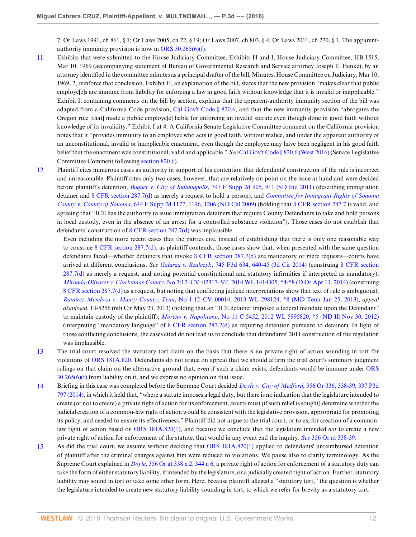7; Or Laws 1991, ch 861, § 1; Or Laws 2005, ch 22, § 19; Or Laws 2007, ch 803, § 4; Or Laws 2011, ch 270, § 1. The apparentauthority immunity provision is now in [ORS 30.265\(6\)\(f\).](http://www.westlaw.com/Link/Document/FullText?findType=L&pubNum=1000534&cite=ORSTS30.265&originatingDoc=I0f7471303d5611e6a6699ce8baa114cf&refType=SP&originationContext=document&vr=3.0&rs=cblt1.0&transitionType=DocumentItem&contextData=(sc.KeyciteAlert)#co_pp_5aa00000f37c3)

- <span id="page-11-0"></span>[11](#page-5-1) Exhibits that were submitted to the House Judiciary Committee, Exhibits H and I, House Judiciary Committee, HB 1515, Mar 10, 1969 (accompanying statement of Bureau of Governmental Research and Service attorney Joseph T. Henke), by an attorney identified in the committee minutes as a principal drafter of the bill, Minutes, House Committee on Judiciary, Mar 10, 1969, 2, reinforce that conclusion. Exhibit H, an explanation of the bill, states that the new provision "makes clear that public employe[e]s are immune from liability for enforcing a law in good faith without knowledge that it is invalid or inapplicable." Exhibit I, containing comments on the bill by section, explains that the apparent-authority immunity section of the bill was adapted from a California Code provision, [Cal Gov't Code § 820.6,](http://www.westlaw.com/Link/Document/FullText?findType=L&pubNum=1000211&cite=CAGTS820.6&originatingDoc=I0f7471303d5611e6a6699ce8baa114cf&refType=LQ&originationContext=document&vr=3.0&rs=cblt1.0&transitionType=DocumentItem&contextData=(sc.KeyciteAlert)) and that the new immunity provision "abrogates the Oregon rule [that] made a public employe[e] liable for enforcing an invalid statute even though done in good faith without knowledge of its invalidity." Exhibit I at 4. A California Senate Legislative Committee comment on the California provision notes that it "provides immunity to an employee who acts in good faith, without malice, and under the apparent authority of an unconstitutional, invalid or inapplicable enactment, even though the employee may have been negligent in his good faith belief that the enactment was constitutional, valid and applicable." *See* [Cal Gov't Code § 820.6 \(West 2016\)](http://www.westlaw.com/Link/Document/FullText?findType=L&pubNum=1000211&cite=CAGTS820.6&originatingDoc=I0f7471303d5611e6a6699ce8baa114cf&refType=LQ&originationContext=document&vr=3.0&rs=cblt1.0&transitionType=DocumentItem&contextData=(sc.KeyciteAlert)) (Senate Legislative Committee Comment following [section 820.6](http://www.westlaw.com/Link/Document/FullText?findType=L&pubNum=1000211&cite=CAGTS820.6&originatingDoc=I0f7471303d5611e6a6699ce8baa114cf&refType=LQ&originationContext=document&vr=3.0&rs=cblt1.0&transitionType=DocumentItem&contextData=(sc.KeyciteAlert))).
- <span id="page-11-1"></span>[12](#page-5-2) Plaintiff cites numerous cases as authority in support of his contention that defendants' construction of the rule is incorrect and unreasonable. Plaintiff cites only two cases, however, that are relatively on point on the issue at hand and were decided before plaintiff's detention, *Buquer v. City of Indianapolis*[, 797 F Supp 2d 905, 911 \(SD Ind 2011\)](http://www.westlaw.com/Link/Document/FullText?findType=Y&serNum=2025558028&pubNum=0004637&originatingDoc=I0f7471303d5611e6a6699ce8baa114cf&refType=RP&fi=co_pp_sp_4637_911&originationContext=document&vr=3.0&rs=cblt1.0&transitionType=DocumentItem&contextData=(sc.KeyciteAlert)#co_pp_sp_4637_911) (describing immigration detainer and [8 CFR section 287.7\(d\)](http://www.westlaw.com/Link/Document/FullText?findType=L&pubNum=1000547&cite=8CFRS287.7&originatingDoc=I0f7471303d5611e6a6699ce8baa114cf&refType=LQ&originationContext=document&vr=3.0&rs=cblt1.0&transitionType=DocumentItem&contextData=(sc.KeyciteAlert)) as merely a request to hold a person), and *[Committee for Immigrant Rights of Sonoma](http://www.westlaw.com/Link/Document/FullText?findType=Y&serNum=2019536011&pubNum=0004637&originatingDoc=I0f7471303d5611e6a6699ce8baa114cf&refType=RP&fi=co_pp_sp_4637_1196&originationContext=document&vr=3.0&rs=cblt1.0&transitionType=DocumentItem&contextData=(sc.KeyciteAlert)#co_pp_sp_4637_1196) County v. County of Sonoma*[, 644 F Supp 2d 1177, 1196, 1206 \(ND Cal 2009\)](http://www.westlaw.com/Link/Document/FullText?findType=Y&serNum=2019536011&pubNum=0004637&originatingDoc=I0f7471303d5611e6a6699ce8baa114cf&refType=RP&fi=co_pp_sp_4637_1196&originationContext=document&vr=3.0&rs=cblt1.0&transitionType=DocumentItem&contextData=(sc.KeyciteAlert)#co_pp_sp_4637_1196) (holding that [8 CFR section 287.7](http://www.westlaw.com/Link/Document/FullText?findType=L&pubNum=1000547&cite=8CFRS287.7&originatingDoc=I0f7471303d5611e6a6699ce8baa114cf&refType=LQ&originationContext=document&vr=3.0&rs=cblt1.0&transitionType=DocumentItem&contextData=(sc.KeyciteAlert)) is valid, and agreeing that "ICE has the authority to issue immigration detainers that require County Defendants to take and hold persons in local custody, even in the absence of an arrest for a controlled substance violation"). Those cases do not establish that defendants' construction of [8 CFR section 287.7\(d\)](http://www.westlaw.com/Link/Document/FullText?findType=L&pubNum=1000547&cite=8CFRS287.7&originatingDoc=I0f7471303d5611e6a6699ce8baa114cf&refType=LQ&originationContext=document&vr=3.0&rs=cblt1.0&transitionType=DocumentItem&contextData=(sc.KeyciteAlert)) was implausible.

Even including the more recent cases that the parties cite, instead of establishing that there is only one reasonable way to construe 8 CFR section  $287.7(d)$ , as plaintiff contends, those cases show that, when presented with the same question defendants faced—whether detainers that invoke [8 CFR section 287.7\(d\)](http://www.westlaw.com/Link/Document/FullText?findType=L&pubNum=1000547&cite=8CFRS287.7&originatingDoc=I0f7471303d5611e6a6699ce8baa114cf&refType=LQ&originationContext=document&vr=3.0&rs=cblt1.0&transitionType=DocumentItem&contextData=(sc.KeyciteAlert)) are mandatory or mere requests—courts have arrived at different conclusions. *See Galarza v. Szalczyk*[, 745 F3d 634, 640-45 \(3d Cir 2014\)](http://www.westlaw.com/Link/Document/FullText?findType=Y&serNum=2032818671&pubNum=0000506&originatingDoc=I0f7471303d5611e6a6699ce8baa114cf&refType=RP&fi=co_pp_sp_506_640&originationContext=document&vr=3.0&rs=cblt1.0&transitionType=DocumentItem&contextData=(sc.KeyciteAlert)#co_pp_sp_506_640) (construing [8 CFR section](http://www.westlaw.com/Link/Document/FullText?findType=L&pubNum=1000547&cite=8CFRS287.7&originatingDoc=I0f7471303d5611e6a6699ce8baa114cf&refType=LQ&originationContext=document&vr=3.0&rs=cblt1.0&transitionType=DocumentItem&contextData=(sc.KeyciteAlert))  $287.7(d)$  as merely a request, and noting potential constitutional and statutory infirmities if interpreted as mandatory); *Miranda-Olivares v. Clackamas County*[, No 3:12–CV–02317–ST, 2014 WL 1414305, \\*4-\\*8 \(D Or Apr 11, 2014\)](http://www.westlaw.com/Link/Document/FullText?findType=Y&serNum=2033158863&pubNum=0000999&originatingDoc=I0f7471303d5611e6a6699ce8baa114cf&refType=RP&originationContext=document&vr=3.0&rs=cblt1.0&transitionType=DocumentItem&contextData=(sc.KeyciteAlert)) (construing [8 CFR section 287.7\(d\)](http://www.westlaw.com/Link/Document/FullText?findType=L&pubNum=1000547&cite=8CFRS287.7&originatingDoc=I0f7471303d5611e6a6699ce8baa114cf&refType=LQ&originationContext=document&vr=3.0&rs=cblt1.0&transitionType=DocumentItem&contextData=(sc.KeyciteAlert)) as a request, but noting that conflicting judicial interpretations show that text of rule is ambiguous); *Ramirez-Mendoza v. Maury County*, *Tenn*[, No 1:12–CV–00014, 2013 WL 298124, \\*8 \(MD Tenn Jan 25, 2013\),](http://www.westlaw.com/Link/Document/FullText?findType=Y&serNum=2029732486&pubNum=0000999&originatingDoc=I0f7471303d5611e6a6699ce8baa114cf&refType=RP&originationContext=document&vr=3.0&rs=cblt1.0&transitionType=DocumentItem&contextData=(sc.KeyciteAlert)) *appeal dismissed*, 13-5256 (6th Cir May 23, 2013) (holding that an "ICE detainer imposed a federal mandate upon the Defendant" to maintain custody of the plaintiff); *Moreno v. Napolitano*[, No 11 C 5452, 2012 WL 5995820, \\*5 \(ND Ill Nov 30, 2012\)](http://www.westlaw.com/Link/Document/FullText?findType=Y&serNum=2029319977&pubNum=0000999&originatingDoc=I0f7471303d5611e6a6699ce8baa114cf&refType=RP&originationContext=document&vr=3.0&rs=cblt1.0&transitionType=DocumentItem&contextData=(sc.KeyciteAlert)) (interpreting "mandatory language" of [8 CFR section 287.7\(d\)](http://www.westlaw.com/Link/Document/FullText?findType=L&pubNum=1000547&cite=8CFRS287.7&originatingDoc=I0f7471303d5611e6a6699ce8baa114cf&refType=LQ&originationContext=document&vr=3.0&rs=cblt1.0&transitionType=DocumentItem&contextData=(sc.KeyciteAlert)) as requiring detention pursuant to detainer). In light of those conflicting conclusions, the cases cited do not lead us to conclude that defendants' 2011 construction of the regulation was implausible.

- <span id="page-11-2"></span>[13](#page-7-0) The trial court resolved the statutory tort claim on the basis that there is no private right of action sounding in tort for violations of [ORS 181A.820.](http://www.westlaw.com/Link/Document/FullText?findType=L&pubNum=1000534&cite=ORSTS181A.820&originatingDoc=I0f7471303d5611e6a6699ce8baa114cf&refType=LQ&originationContext=document&vr=3.0&rs=cblt1.0&transitionType=DocumentItem&contextData=(sc.KeyciteAlert)) Defendants do not argue on appeal that we should affirm the trial court's summary judgment rulings on that claim on the alternative ground that, even if such a claim exists, defendants would be immune under [ORS](http://www.westlaw.com/Link/Document/FullText?findType=L&pubNum=1000534&cite=ORSTS30.265&originatingDoc=I0f7471303d5611e6a6699ce8baa114cf&refType=SP&originationContext=document&vr=3.0&rs=cblt1.0&transitionType=DocumentItem&contextData=(sc.KeyciteAlert)#co_pp_5aa00000f37c3) [30.265\(6\)\(f\)](http://www.westlaw.com/Link/Document/FullText?findType=L&pubNum=1000534&cite=ORSTS30.265&originatingDoc=I0f7471303d5611e6a6699ce8baa114cf&refType=SP&originationContext=document&vr=3.0&rs=cblt1.0&transitionType=DocumentItem&contextData=(sc.KeyciteAlert)#co_pp_5aa00000f37c3) from liability on it, and we express no opinion on that issue.
- <span id="page-11-3"></span>[14](#page-7-1) Briefing in this case was completed before the Supreme Court decided *Doyle v. City of Medford*[, 356 Or 336, 338-39, 337 P3d](http://www.westlaw.com/Link/Document/FullText?findType=Y&serNum=2034583287&pubNum=0004645&originatingDoc=I0f7471303d5611e6a6699ce8baa114cf&refType=RP&originationContext=document&vr=3.0&rs=cblt1.0&transitionType=DocumentItem&contextData=(sc.KeyciteAlert)) [797 \(2014\)](http://www.westlaw.com/Link/Document/FullText?findType=Y&serNum=2034583287&pubNum=0004645&originatingDoc=I0f7471303d5611e6a6699ce8baa114cf&refType=RP&originationContext=document&vr=3.0&rs=cblt1.0&transitionType=DocumentItem&contextData=(sc.KeyciteAlert)), in which it held that, "where a statute imposes a legal duty, but there is no indication that the legislature intended to create (or not to create) a private right of action for its enforcement, courts must (if such relief is sought) determine whether the judicial creation of a common-law right of action would be consistent with the legislative provision, appropriate for promoting its policy, and needed to ensure its effectiveness." Plaintiff did not argue to the trial court, or to us, for creation of a commonlaw right of action based on [ORS 181A.820\(1\),](http://www.westlaw.com/Link/Document/FullText?findType=L&pubNum=1000534&cite=ORSTS181A.820&originatingDoc=I0f7471303d5611e6a6699ce8baa114cf&refType=SP&originationContext=document&vr=3.0&rs=cblt1.0&transitionType=DocumentItem&contextData=(sc.KeyciteAlert)#co_pp_f1c50000821b0) and because we conclude that the legislature intended *not* to create a new private right of action for enforcement of the statute, that would in any event end the inquiry. *See* [356 Or at 338-39](http://www.westlaw.com/Link/Document/FullText?findType=Y&serNum=2034583287&pubNum=0000641&originatingDoc=I0f7471303d5611e6a6699ce8baa114cf&refType=RP&fi=co_pp_sp_641_338&originationContext=document&vr=3.0&rs=cblt1.0&transitionType=DocumentItem&contextData=(sc.KeyciteAlert)#co_pp_sp_641_338)*.*
- <span id="page-11-4"></span>[15](#page-7-2) As did the trial court, we assume without deciding that [ORS 181A.820\(1\)](http://www.westlaw.com/Link/Document/FullText?findType=L&pubNum=1000534&cite=ORSTS181A.820&originatingDoc=I0f7471303d5611e6a6699ce8baa114cf&refType=SP&originationContext=document&vr=3.0&rs=cblt1.0&transitionType=DocumentItem&contextData=(sc.KeyciteAlert)#co_pp_f1c50000821b0) applied to defendants' unreimbursed detention of plaintiff after the criminal charges against him were reduced to violations. We pause also to clarify terminology. As the Supreme Court explained in *Doyle*[, 356 Or at 338 n 2, 344 n 6](http://www.westlaw.com/Link/Document/FullText?findType=Y&serNum=2034583287&pubNum=0000641&originatingDoc=I0f7471303d5611e6a6699ce8baa114cf&refType=RP&fi=co_pp_sp_641_338&originationContext=document&vr=3.0&rs=cblt1.0&transitionType=DocumentItem&contextData=(sc.KeyciteAlert)#co_pp_sp_641_338), a private right of action for enforcement of a statutory duty can take the form of either statutory liability, if intended by the legislature, or a judicially created right of action. Further, statutory liability may sound in tort or take some other form. Here, because plaintiff alleged a "statutory tort," the question is whether the legislature intended to create new statutory liability sounding in tort, to which we refer for brevity as a statutory tort.